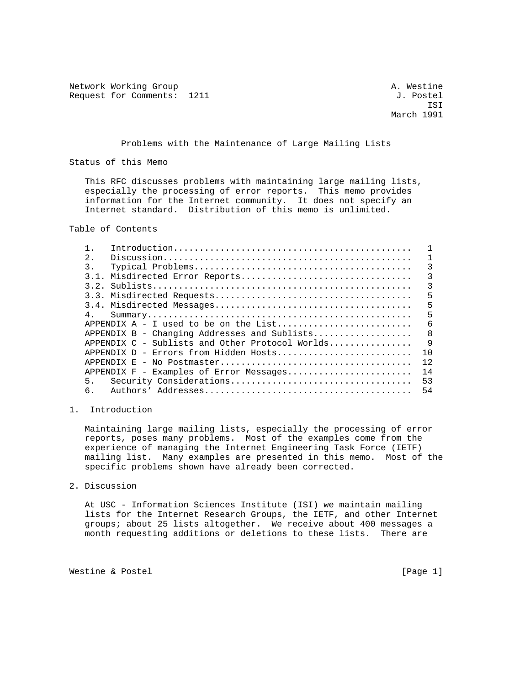Network Working Group and the settle and the settle and the settle and the settle and the settle and the settle Request for Comments: 1211 J. Postel

 ISI March 1991

Problems with the Maintenance of Large Mailing Lists

Status of this Memo

 This RFC discusses problems with maintaining large mailing lists, especially the processing of error reports. This memo provides information for the Internet community. It does not specify an Internet standard. Distribution of this memo is unlimited.

Table of Contents

| 2.             |                                                   |              |
|----------------|---------------------------------------------------|--------------|
| 3.             |                                                   | ζ            |
| 3.1.           | Misdirected Error Reports                         | 3            |
| 32             |                                                   | 3            |
|                |                                                   | 5            |
|                |                                                   | 5            |
| 4 <sub>1</sub> |                                                   | 5            |
|                |                                                   | 6            |
|                | $APPENDIX B - Chanqing Addresses and Sublists$    | $\mathsf{B}$ |
|                | APPENDIX $C$ - Sublists and Other Protocol Worlds | 9            |
|                |                                                   | 1 O          |
|                |                                                   | 12           |
|                | APPENDIX F - Examples of Error Messages           | 14           |
| 5.             |                                                   | 53           |
| б.             |                                                   | 54           |

1. Introduction

 Maintaining large mailing lists, especially the processing of error reports, poses many problems. Most of the examples come from the experience of managing the Internet Engineering Task Force (IETF) mailing list. Many examples are presented in this memo. Most of the specific problems shown have already been corrected.

2. Discussion

 At USC - Information Sciences Institute (ISI) we maintain mailing lists for the Internet Research Groups, the IETF, and other Internet groups; about 25 lists altogether. We receive about 400 messages a month requesting additions or deletions to these lists. There are

Westine & Postel (Page 1)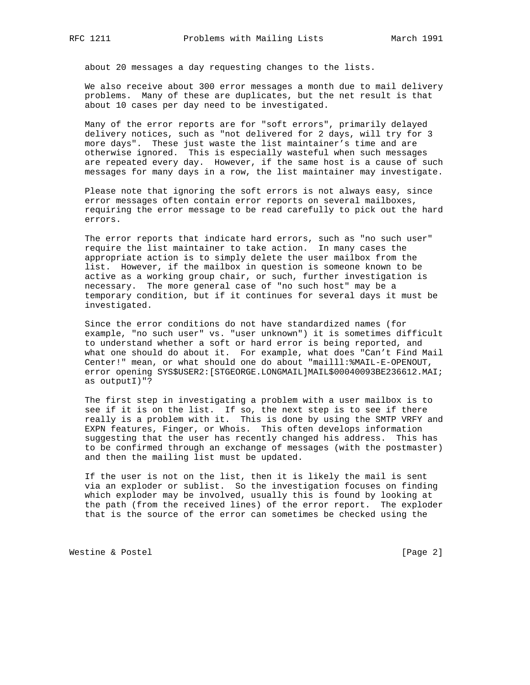about 20 messages a day requesting changes to the lists.

 We also receive about 300 error messages a month due to mail delivery problems. Many of these are duplicates, but the net result is that about 10 cases per day need to be investigated.

 Many of the error reports are for "soft errors", primarily delayed delivery notices, such as "not delivered for 2 days, will try for 3 more days". These just waste the list maintainer's time and are otherwise ignored. This is especially wasteful when such messages are repeated every day. However, if the same host is a cause of such messages for many days in a row, the list maintainer may investigate.

 Please note that ignoring the soft errors is not always easy, since error messages often contain error reports on several mailboxes, requiring the error message to be read carefully to pick out the hard errors.

 The error reports that indicate hard errors, such as "no such user" require the list maintainer to take action. In many cases the appropriate action is to simply delete the user mailbox from the list. However, if the mailbox in question is someone known to be active as a working group chair, or such, further investigation is necessary. The more general case of "no such host" may be a temporary condition, but if it continues for several days it must be investigated.

 Since the error conditions do not have standardized names (for example, "no such user" vs. "user unknown") it is sometimes difficult to understand whether a soft or hard error is being reported, and what one should do about it. For example, what does "Can't Find Mail Center!" mean, or what should one do about "mailll:%MAIL-E-OPENOUT, error opening SYS\$USER2:[STGEORGE.LONGMAIL]MAIL\$00040093BE236612.MAI; as outputI)"?

 The first step in investigating a problem with a user mailbox is to see if it is on the list. If so, the next step is to see if there really is a problem with it. This is done by using the SMTP VRFY and EXPN features, Finger, or Whois. This often develops information suggesting that the user has recently changed his address. This has to be confirmed through an exchange of messages (with the postmaster) and then the mailing list must be updated.

 If the user is not on the list, then it is likely the mail is sent via an exploder or sublist. So the investigation focuses on finding which exploder may be involved, usually this is found by looking at the path (from the received lines) of the error report. The exploder that is the source of the error can sometimes be checked using the

Westine & Postel [Page 2]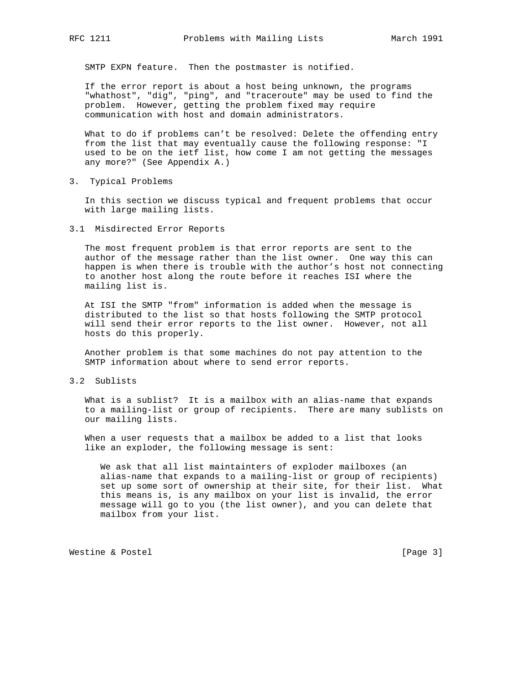SMTP EXPN feature. Then the postmaster is notified.

 If the error report is about a host being unknown, the programs "whathost", "dig", "ping", and "traceroute" may be used to find the problem. However, getting the problem fixed may require communication with host and domain administrators.

 What to do if problems can't be resolved: Delete the offending entry from the list that may eventually cause the following response: "I used to be on the ietf list, how come I am not getting the messages any more?" (See Appendix A.)

3. Typical Problems

 In this section we discuss typical and frequent problems that occur with large mailing lists.

3.1 Misdirected Error Reports

 The most frequent problem is that error reports are sent to the author of the message rather than the list owner. One way this can happen is when there is trouble with the author's host not connecting to another host along the route before it reaches ISI where the mailing list is.

 At ISI the SMTP "from" information is added when the message is distributed to the list so that hosts following the SMTP protocol will send their error reports to the list owner. However, not all hosts do this properly.

 Another problem is that some machines do not pay attention to the SMTP information about where to send error reports.

3.2 Sublists

 What is a sublist? It is a mailbox with an alias-name that expands to a mailing-list or group of recipients. There are many sublists on our mailing lists.

 When a user requests that a mailbox be added to a list that looks like an exploder, the following message is sent:

 We ask that all list maintainters of exploder mailboxes (an alias-name that expands to a mailing-list or group of recipients) set up some sort of ownership at their site, for their list. What this means is, is any mailbox on your list is invalid, the error message will go to you (the list owner), and you can delete that mailbox from your list.

Westine & Postel [Page 3]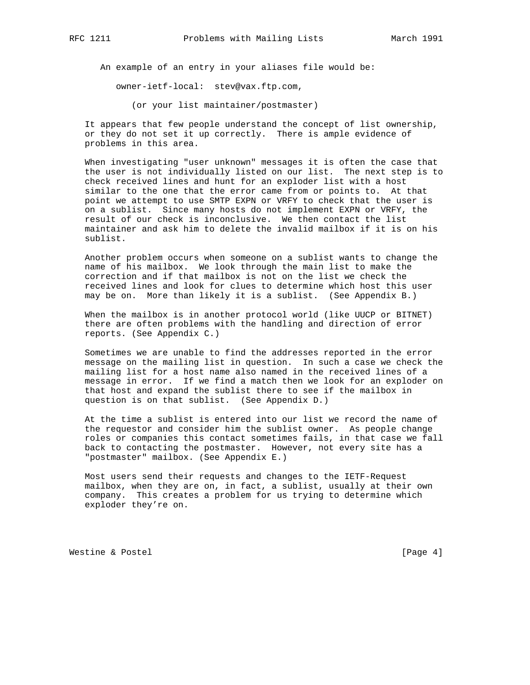An example of an entry in your aliases file would be:

owner-ietf-local: stev@vax.ftp.com,

(or your list maintainer/postmaster)

 It appears that few people understand the concept of list ownership, or they do not set it up correctly. There is ample evidence of problems in this area.

 When investigating "user unknown" messages it is often the case that the user is not individually listed on our list. The next step is to check received lines and hunt for an exploder list with a host similar to the one that the error came from or points to. At that point we attempt to use SMTP EXPN or VRFY to check that the user is on a sublist. Since many hosts do not implement EXPN or VRFY, the result of our check is inconclusive. We then contact the list maintainer and ask him to delete the invalid mailbox if it is on his sublist.

 Another problem occurs when someone on a sublist wants to change the name of his mailbox. We look through the main list to make the correction and if that mailbox is not on the list we check the received lines and look for clues to determine which host this user may be on. More than likely it is a sublist. (See Appendix B.)

 When the mailbox is in another protocol world (like UUCP or BITNET) there are often problems with the handling and direction of error reports. (See Appendix C.)

 Sometimes we are unable to find the addresses reported in the error message on the mailing list in question. In such a case we check the mailing list for a host name also named in the received lines of a message in error. If we find a match then we look for an exploder on that host and expand the sublist there to see if the mailbox in question is on that sublist. (See Appendix D.)

 At the time a sublist is entered into our list we record the name of the requestor and consider him the sublist owner. As people change roles or companies this contact sometimes fails, in that case we fall back to contacting the postmaster. However, not every site has a "postmaster" mailbox. (See Appendix E.)

 Most users send their requests and changes to the IETF-Request mailbox, when they are on, in fact, a sublist, usually at their own company. This creates a problem for us trying to determine which exploder they're on.

Westine & Postel and the contract of the contract of the contract of the contract of the contract of the contract of the contract of the contract of the contract of the contract of the contract of the contract of the contr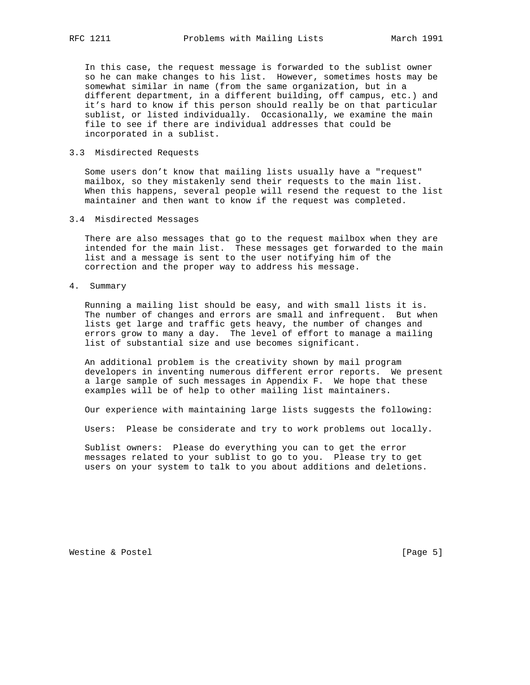In this case, the request message is forwarded to the sublist owner so he can make changes to his list. However, sometimes hosts may be somewhat similar in name (from the same organization, but in a different department, in a different building, off campus, etc.) and it's hard to know if this person should really be on that particular sublist, or listed individually. Occasionally, we examine the main file to see if there are individual addresses that could be incorporated in a sublist.

#### 3.3 Misdirected Requests

 Some users don't know that mailing lists usually have a "request" mailbox, so they mistakenly send their requests to the main list. When this happens, several people will resend the request to the list maintainer and then want to know if the request was completed.

#### 3.4 Misdirected Messages

 There are also messages that go to the request mailbox when they are intended for the main list. These messages get forwarded to the main list and a message is sent to the user notifying him of the correction and the proper way to address his message.

#### 4. Summary

 Running a mailing list should be easy, and with small lists it is. The number of changes and errors are small and infrequent. But when lists get large and traffic gets heavy, the number of changes and errors grow to many a day. The level of effort to manage a mailing list of substantial size and use becomes significant.

 An additional problem is the creativity shown by mail program developers in inventing numerous different error reports. We present a large sample of such messages in Appendix F. We hope that these examples will be of help to other mailing list maintainers.

Our experience with maintaining large lists suggests the following:

Users: Please be considerate and try to work problems out locally.

 Sublist owners: Please do everything you can to get the error messages related to your sublist to go to you. Please try to get users on your system to talk to you about additions and deletions.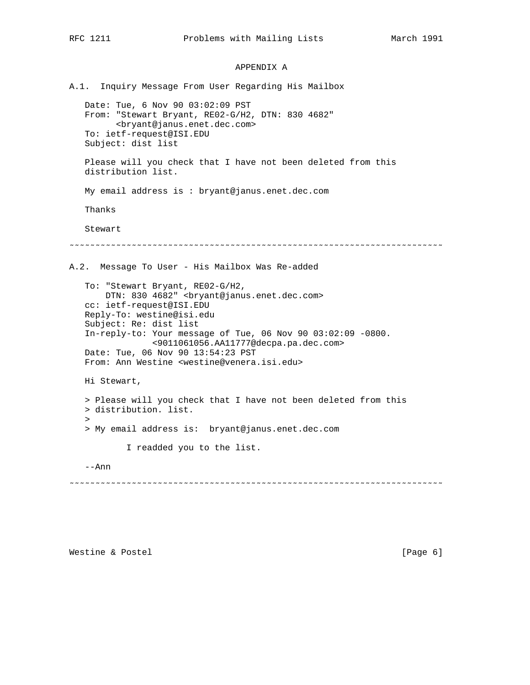# APPENDIX A

A.1. Inquiry Message From User Regarding His Mailbox Date: Tue, 6 Nov 90 03:02:09 PST From: "Stewart Bryant, RE02-G/H2, DTN: 830 4682" <bryant@janus.enet.dec.com> To: ietf-request@ISI.EDU Subject: dist list Please will you check that I have not been deleted from this distribution list. My email address is : bryant@janus.enet.dec.com Thanks Stewart ˜˜˜˜˜˜˜˜˜˜˜˜˜˜˜˜˜˜˜˜˜˜˜˜˜˜˜˜˜˜˜˜˜˜˜˜˜˜˜˜˜˜˜˜˜˜˜˜˜˜˜˜˜˜˜˜˜˜˜˜˜˜˜˜˜˜˜˜˜˜˜˜ A.2. Message To User - His Mailbox Was Re-added To: "Stewart Bryant, RE02-G/H2, DTN: 830 4682" <bryant@janus.enet.dec.com> cc: ietf-request@ISI.EDU Reply-To: westine@isi.edu Subject: Re: dist list In-reply-to: Your message of Tue, 06 Nov 90 03:02:09 -0800. <9011061056.AA11777@decpa.pa.dec.com> Date: Tue, 06 Nov 90 13:54:23 PST From: Ann Westine <westine@venera.isi.edu> Hi Stewart, > Please will you check that I have not been deleted from this > distribution. list.  $\rightarrow$  > My email address is: bryant@janus.enet.dec.com I readded you to the list. --Ann ˜˜˜˜˜˜˜˜˜˜˜˜˜˜˜˜˜˜˜˜˜˜˜˜˜˜˜˜˜˜˜˜˜˜˜˜˜˜˜˜˜˜˜˜˜˜˜˜˜˜˜˜˜˜˜˜˜˜˜˜˜˜˜˜˜˜˜˜˜˜˜˜

Westine & Postel and the contract of the contract of the contract of the contract of the contract of  $[Page 6]$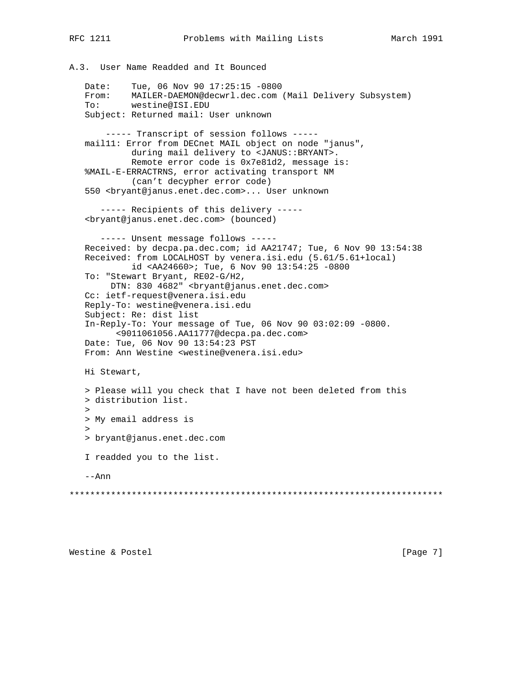```
A.3. User Name Readded and It Bounced
    Date: Tue, 06 Nov 90 17:25:15 -0800
    From: MAILER-DAEMON@decwrl.dec.com (Mail Delivery Subsystem)
    To: westine@ISI.EDU
    Subject: Returned mail: User unknown
        ----- Transcript of session follows -----
    mail11: Error from DECnet MAIL object on node "janus",
             during mail delivery to <JANUS::BRYANT>.
             Remote error code is 0x7e81d2, message is:
    %MAIL-E-ERRACTRNS, error activating transport NM
             (can't decypher error code)
    550 <bryant@janus.enet.dec.com>... User unknown
       ----- Recipients of this delivery -----
    <bryant@janus.enet.dec.com> (bounced)
       ----- Unsent message follows -----
    Received: by decpa.pa.dec.com; id AA21747; Tue, 6 Nov 90 13:54:38
    Received: from LOCALHOST by venera.isi.edu (5.61/5.61+local)
             id <AA24660>; Tue, 6 Nov 90 13:54:25 -0800
    To: "Stewart Bryant, RE02-G/H2,
        DTN: 830 4682" <bryant@janus.enet.dec.com>
    Cc: ietf-request@venera.isi.edu
    Reply-To: westine@venera.isi.edu
    Subject: Re: dist list
    In-Reply-To: Your message of Tue, 06 Nov 90 03:02:09 -0800.
          <9011061056.AA11777@decpa.pa.dec.com>
    Date: Tue, 06 Nov 90 13:54:23 PST
    From: Ann Westine <westine@venera.isi.edu>
   Hi Stewart,
    > Please will you check that I have not been deleted from this
    > distribution list.
\rightarrow > My email address is
\rightarrow > bryant@janus.enet.dec.com
    I readded you to the list.
    --Ann
************************************************************************
```
Westine & Postel and the contract of the contract of the contract of the contract of  $[Page 7]$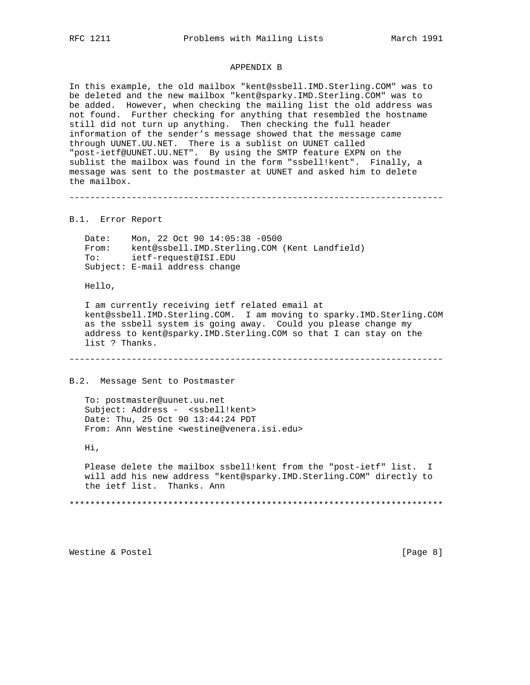#### APPENDIX B

In this example, the old mailbox "kent@ssbell.IMD.Sterling.COM" was to be deleted and the new mailbox "kent@sparky.IMD.Sterling.COM" was to be added. However, when checking the mailing list the old address was not found. Further checking for anything that resembled the hostname still did not turn up anything. Then checking the full header information of the sender's message showed that the message came through UUNET.UU.NET. There is a sublist on UUNET called "post-ietf@UUNET.UU.NET". By using the SMTP feature EXPN on the sublist the mailbox was found in the form "ssbell!kent". Finally, a message was sent to the postmaster at UUNET and asked him to delete the mailbox.

˜˜˜˜˜˜˜˜˜˜˜˜˜˜˜˜˜˜˜˜˜˜˜˜˜˜˜˜˜˜˜˜˜˜˜˜˜˜˜˜˜˜˜˜˜˜˜˜˜˜˜˜˜˜˜˜˜˜˜˜˜˜˜˜˜˜˜˜˜˜˜˜

B.1. Error Report

 Date: Mon, 22 Oct 90 14:05:38 -0500 From: kent@ssbell.IMD.Sterling.COM (Kent Landfield) To: ietf-request@ISI.EDU Subject: E-mail address change

Hello,

 I am currently receiving ietf related email at kent@ssbell.IMD.Sterling.COM. I am moving to sparky.IMD.Sterling.COM as the ssbell system is going away. Could you please change my address to kent@sparky.IMD.Sterling.COM so that I can stay on the list ? Thanks.

˜˜˜˜˜˜˜˜˜˜˜˜˜˜˜˜˜˜˜˜˜˜˜˜˜˜˜˜˜˜˜˜˜˜˜˜˜˜˜˜˜˜˜˜˜˜˜˜˜˜˜˜˜˜˜˜˜˜˜˜˜˜˜˜˜˜˜˜˜˜˜˜

B.2. Message Sent to Postmaster

 To: postmaster@uunet.uu.net Subject: Address - <ssbell!kent> Date: Thu, 25 Oct 90 13:44:24 PDT From: Ann Westine <westine@venera.isi.edu>

Hi,

 Please delete the mailbox ssbell!kent from the "post-ietf" list. I will add his new address "kent@sparky.IMD.Sterling.COM" directly to the ietf list. Thanks. Ann

\*\*\*\*\*\*\*\*\*\*\*\*\*\*\*\*\*\*\*\*\*\*\*\*\*\*\*\*\*\*\*\*\*\*\*\*\*\*\*\*\*\*\*\*\*\*\*\*\*\*\*\*\*\*\*\*\*\*\*\*\*\*\*\*\*\*\*\*\*\*\*\*

Westine & Postel **Example 20** (Page 8)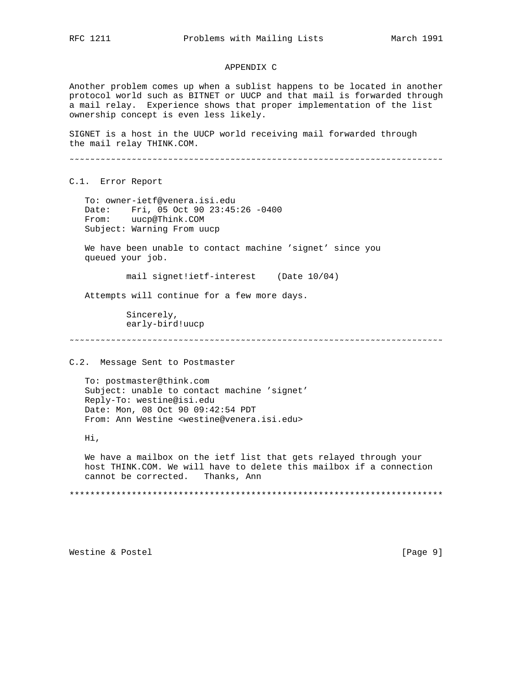### APPENDIX C

Another problem comes up when a sublist happens to be located in another protocol world such as BITNET or UUCP and that mail is forwarded through a mail relay. Experience shows that proper implementation of the list ownership concept is even less likely.

SIGNET is a host in the UUCP world receiving mail forwarded through the mail relay THINK.COM.

˜˜˜˜˜˜˜˜˜˜˜˜˜˜˜˜˜˜˜˜˜˜˜˜˜˜˜˜˜˜˜˜˜˜˜˜˜˜˜˜˜˜˜˜˜˜˜˜˜˜˜˜˜˜˜˜˜˜˜˜˜˜˜˜˜˜˜˜˜˜˜˜

C.1. Error Report

 To: owner-ietf@venera.isi.edu Date: Fri, 05 Oct 90 23:45:26 -0400 From: uucp@Think.COM Subject: Warning From uucp

 We have been unable to contact machine 'signet' since you queued your job.

mail signet!ietf-interest (Date 10/04)

Attempts will continue for a few more days.

 Sincerely, early-bird!uucp

˜˜˜˜˜˜˜˜˜˜˜˜˜˜˜˜˜˜˜˜˜˜˜˜˜˜˜˜˜˜˜˜˜˜˜˜˜˜˜˜˜˜˜˜˜˜˜˜˜˜˜˜˜˜˜˜˜˜˜˜˜˜˜˜˜˜˜˜˜˜˜˜

C.2. Message Sent to Postmaster

 To: postmaster@think.com Subject: unable to contact machine 'signet' Reply-To: westine@isi.edu Date: Mon, 08 Oct 90 09:42:54 PDT From: Ann Westine <westine@venera.isi.edu>

Hi,

 We have a mailbox on the ietf list that gets relayed through your host THINK.COM. We will have to delete this mailbox if a connection cannot be corrected. Thanks, Ann

\*\*\*\*\*\*\*\*\*\*\*\*\*\*\*\*\*\*\*\*\*\*\*\*\*\*\*\*\*\*\*\*\*\*\*\*\*\*\*\*\*\*\*\*\*\*\*\*\*\*\*\*\*\*\*\*\*\*\*\*\*\*\*\*\*\*\*\*\*\*\*\*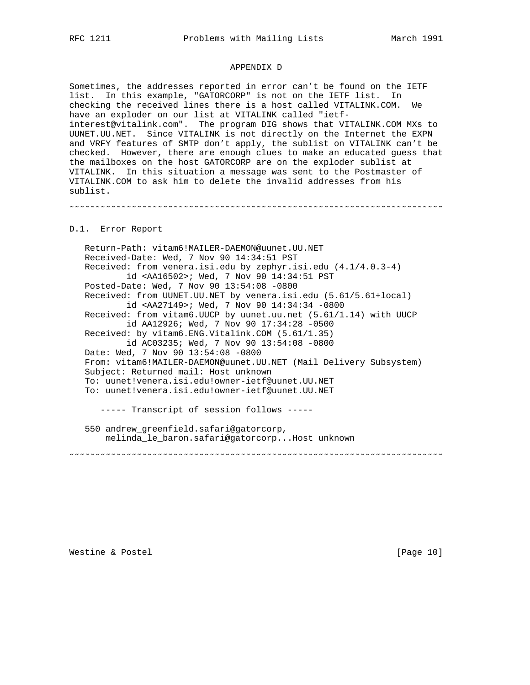## APPENDIX D

Sometimes, the addresses reported in error can't be found on the IETF list. In this example, "GATORCORP" is not on the IETF list. In checking the received lines there is a host called VITALINK.COM. We have an exploder on our list at VITALINK called "ietfinterest@vitalink.com". The program DIG shows that VITALINK.COM MXs to UUNET.UU.NET. Since VITALINK is not directly on the Internet the EXPN and VRFY features of SMTP don't apply, the sublist on VITALINK can't be checked. However, there are enough clues to make an educated guess that the mailboxes on the host GATORCORP are on the exploder sublist at VITALINK. In this situation a message was sent to the Postmaster of VITALINK.COM to ask him to delete the invalid addresses from his sublist.

˜˜˜˜˜˜˜˜˜˜˜˜˜˜˜˜˜˜˜˜˜˜˜˜˜˜˜˜˜˜˜˜˜˜˜˜˜˜˜˜˜˜˜˜˜˜˜˜˜˜˜˜˜˜˜˜˜˜˜˜˜˜˜˜˜˜˜˜˜˜˜˜

#### D.1. Error Report

 Return-Path: vitam6!MAILER-DAEMON@uunet.UU.NET Received-Date: Wed, 7 Nov 90 14:34:51 PST Received: from venera.isi.edu by zephyr.isi.edu (4.1/4.0.3-4) id <AA16502>; Wed, 7 Nov 90 14:34:51 PST Posted-Date: Wed, 7 Nov 90 13:54:08 -0800 Received: from UUNET.UU.NET by venera.isi.edu (5.61/5.61+local) id <AA27149>; Wed, 7 Nov 90 14:34:34 -0800 Received: from vitam6.UUCP by uunet.uu.net (5.61/1.14) with UUCP id AA12926; Wed, 7 Nov 90 17:34:28 -0500 Received: by vitam6.ENG.Vitalink.COM (5.61/1.35) id AC03235; Wed, 7 Nov 90 13:54:08 -0800 Date: Wed, 7 Nov 90 13:54:08 -0800 From: vitam6!MAILER-DAEMON@uunet.UU.NET (Mail Delivery Subsystem) Subject: Returned mail: Host unknown To: uunet!venera.isi.edu!owner-ietf@uunet.UU.NET To: uunet!venera.isi.edu!owner-ietf@uunet.UU.NET ----- Transcript of session follows ----- 550 andrew\_greenfield.safari@gatorcorp, melinda\_le\_baron.safari@gatorcorp...Host unknown

˜˜˜˜˜˜˜˜˜˜˜˜˜˜˜˜˜˜˜˜˜˜˜˜˜˜˜˜˜˜˜˜˜˜˜˜˜˜˜˜˜˜˜˜˜˜˜˜˜˜˜˜˜˜˜˜˜˜˜˜˜˜˜˜˜˜˜˜˜˜˜˜

Westine & Postel [Page 10]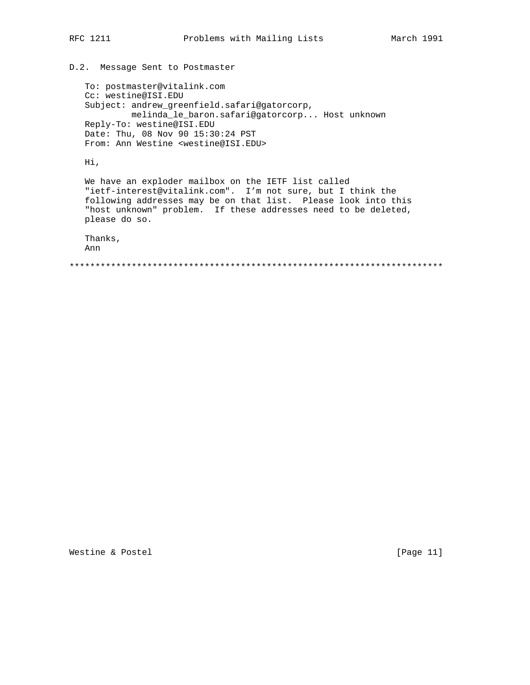# D.2. Message Sent to Postmaster

```
 To: postmaster@vitalink.com
   Cc: westine@ISI.EDU
   Subject: andrew_greenfield.safari@gatorcorp,
            melinda_le_baron.safari@gatorcorp... Host unknown
   Reply-To: westine@ISI.EDU
   Date: Thu, 08 Nov 90 15:30:24 PST
   From: Ann Westine <westine@ISI.EDU>
   Hi,
   We have an exploder mailbox on the IETF list called
   "ietf-interest@vitalink.com". I'm not sure, but I think the
 following addresses may be on that list. Please look into this
 "host unknown" problem. If these addresses need to be deleted,
   please do so.
   Thanks,
   Ann
```
\*\*\*\*\*\*\*\*\*\*\*\*\*\*\*\*\*\*\*\*\*\*\*\*\*\*\*\*\*\*\*\*\*\*\*\*\*\*\*\*\*\*\*\*\*\*\*\*\*\*\*\*\*\*\*\*\*\*\*\*\*\*\*\*\*\*\*\*\*\*\*\*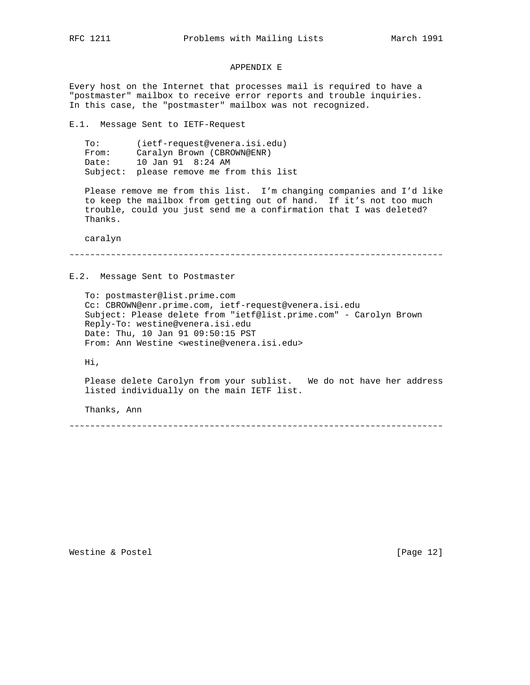#### APPENDIX E

Every host on the Internet that processes mail is required to have a "postmaster" mailbox to receive error reports and trouble inquiries. In this case, the "postmaster" mailbox was not recognized.

E.1. Message Sent to IETF-Request

 To: (ietf-request@venera.isi.edu) From: Caralyn Brown (CBROWN@ENR) Date: 10 Jan 91 8:24 AM Subject: please remove me from this list

 Please remove me from this list. I'm changing companies and I'd like to keep the mailbox from getting out of hand. If it's not too much trouble, could you just send me a confirmation that I was deleted? Thanks.

caralyn

```
˜˜˜˜˜˜˜˜˜˜˜˜˜˜˜˜˜˜˜˜˜˜˜˜˜˜˜˜˜˜˜˜˜˜˜˜˜˜˜˜˜˜˜˜˜˜˜˜˜˜˜˜˜˜˜˜˜˜˜˜˜˜˜˜˜˜˜˜˜˜˜˜
```
E.2. Message Sent to Postmaster

 To: postmaster@list.prime.com Cc: CBROWN@enr.prime.com, ietf-request@venera.isi.edu Subject: Please delete from "ietf@list.prime.com" - Carolyn Brown Reply-To: westine@venera.isi.edu Date: Thu, 10 Jan 91 09:50:15 PST From: Ann Westine <westine@venera.isi.edu>

Hi,

 Please delete Carolyn from your sublist. We do not have her address listed individually on the main IETF list.

Thanks, Ann

˜˜˜˜˜˜˜˜˜˜˜˜˜˜˜˜˜˜˜˜˜˜˜˜˜˜˜˜˜˜˜˜˜˜˜˜˜˜˜˜˜˜˜˜˜˜˜˜˜˜˜˜˜˜˜˜˜˜˜˜˜˜˜˜˜˜˜˜˜˜˜˜

Westine & Postel [Page 12]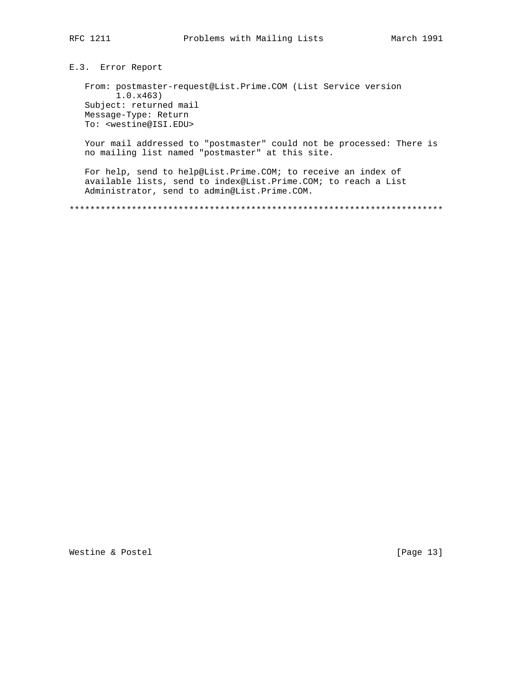E.3. Error Report

From: postmaster-request@List.Prime.COM (List Service version  $1.0.x463)$ Subject: returned mail Message-Type: Return To: <westine@ISI.EDU>

Your mail addressed to "postmaster" could not be processed: There is no mailing list named "postmaster" at this site.

For help, send to help@List.Prime.COM; to receive an index of available lists, send to index@List.Prime.COM; to reach a List Administrator, send to admin@List.Prime.COM.

[Page 13]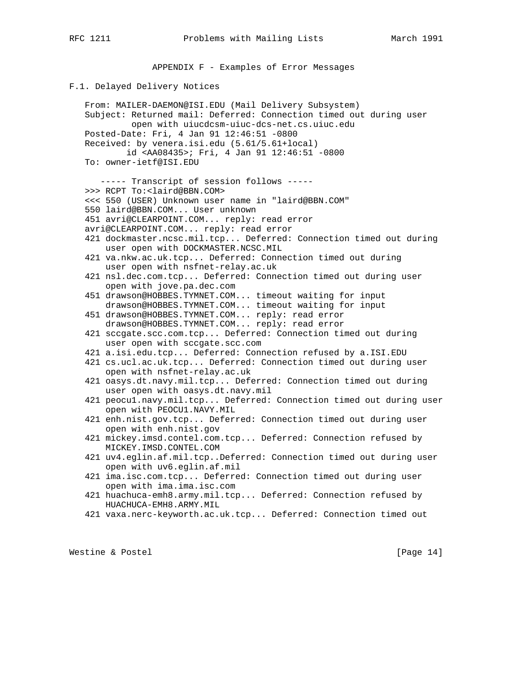APPENDIX F - Examples of Error Messages

#### F.1. Delayed Delivery Notices

 From: MAILER-DAEMON@ISI.EDU (Mail Delivery Subsystem) Subject: Returned mail: Deferred: Connection timed out during user open with uiucdcsm-uiuc-dcs-net.cs.uiuc.edu Posted-Date: Fri, 4 Jan 91 12:46:51 -0800 Received: by venera.isi.edu (5.61/5.61+local) id <AA08435>; Fri, 4 Jan 91 12:46:51 -0800 To: owner-ietf@ISI.EDU ----- Transcript of session follows ----- >>> RCPT To:<laird@BBN.COM> <<< 550 (USER) Unknown user name in "laird@BBN.COM" 550 laird@BBN.COM... User unknown 451 avri@CLEARPOINT.COM... reply: read error avri@CLEARPOINT.COM... reply: read error 421 dockmaster.ncsc.mil.tcp... Deferred: Connection timed out during user open with DOCKMASTER.NCSC.MIL 421 va.nkw.ac.uk.tcp... Deferred: Connection timed out during user open with nsfnet-relay.ac.uk 421 nsl.dec.com.tcp... Deferred: Connection timed out during user open with jove.pa.dec.com 451 drawson@HOBBES.TYMNET.COM... timeout waiting for input drawson@HOBBES.TYMNET.COM... timeout waiting for input 451 drawson@HOBBES.TYMNET.COM... reply: read error drawson@HOBBES.TYMNET.COM... reply: read error 421 sccgate.scc.com.tcp... Deferred: Connection timed out during user open with sccgate.scc.com 421 a.isi.edu.tcp... Deferred: Connection refused by a.ISI.EDU 421 cs.ucl.ac.uk.tcp... Deferred: Connection timed out during user open with nsfnet-relay.ac.uk 421 oasys.dt.navy.mil.tcp... Deferred: Connection timed out during user open with oasys.dt.navy.mil 421 peocu1.navy.mil.tcp... Deferred: Connection timed out during user open with PEOCU1.NAVY.MIL 421 enh.nist.gov.tcp... Deferred: Connection timed out during user open with enh.nist.gov 421 mickey.imsd.contel.com.tcp... Deferred: Connection refused by MICKEY.IMSD.CONTEL.COM 421 uv4.eglin.af.mil.tcp..Deferred: Connection timed out during user open with uv6.eglin.af.mil 421 ima.isc.com.tcp... Deferred: Connection timed out during user open with ima.ima.isc.com 421 huachuca-emh8.army.mil.tcp... Deferred: Connection refused by HUACHUCA-EMH8.ARMY.MIL 421 vaxa.nerc-keyworth.ac.uk.tcp... Deferred: Connection timed out

Westine & Postel [Page 14]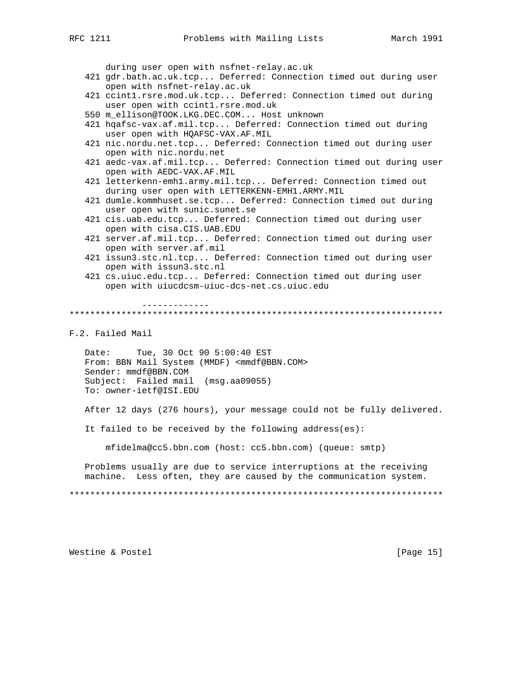during user open with nsfnet-relay.ac.uk

- 421 gdr.bath.ac.uk.tcp... Deferred: Connection timed out during user open with nsfnet-relay.ac.uk
- 421 ccint1.rsre.mod.uk.tcp... Deferred: Connection timed out during user open with ccint1.rsre.mod.uk
- 550 m\_ellison@TOOK.LKG.DEC.COM... Host unknown
- 421 hqafsc-vax.af.mil.tcp... Deferred: Connection timed out during user open with HQAFSC-VAX.AF.MIL
- 421 nic.nordu.net.tcp... Deferred: Connection timed out during user open with nic.nordu.net
- 421 aedc-vax.af.mil.tcp... Deferred: Connection timed out during user open with AEDC-VAX.AF.MIL
- 421 letterkenn-emh1.army.mil.tcp... Deferred: Connection timed out during user open with LETTERKENN-EMH1.ARMY.MIL
- 421 dumle.kommhuset.se.tcp... Deferred: Connection timed out during user open with sunic.sunet.se
- 421 cis.uab.edu.tcp... Deferred: Connection timed out during user open with cisa.CIS.UAB.EDU
- 421 server.af.mil.tcp... Deferred: Connection timed out during user open with server.af.mil
- 421 issun3.stc.nl.tcp... Deferred: Connection timed out during user open with issun3.stc.nl
- 421 cs.uiuc.edu.tcp... Deferred: Connection timed out during user open with uiucdcsm-uiuc-dcs-net.cs.uiuc.edu

 ------------- \*\*\*\*\*\*\*\*\*\*\*\*\*\*\*\*\*\*\*\*\*\*\*\*\*\*\*\*\*\*\*\*\*\*\*\*\*\*\*\*\*\*\*\*\*\*\*\*\*\*\*\*\*\*\*\*\*\*\*\*\*\*\*\*\*\*\*\*\*\*\*\*

F.2. Failed Mail

 Date: Tue, 30 Oct 90 5:00:40 EST From: BBN Mail System (MMDF) <mmdf@BBN.COM> Sender: mmdf@BBN.COM Subject: Failed mail (msg.aa09055) To: owner-ietf@ISI.EDU

After 12 days (276 hours), your message could not be fully delivered.

It failed to be received by the following address(es):

mfidelma@cc5.bbn.com (host: cc5.bbn.com) (queue: smtp)

 Problems usually are due to service interruptions at the receiving machine. Less often, they are caused by the communication system.

\*\*\*\*\*\*\*\*\*\*\*\*\*\*\*\*\*\*\*\*\*\*\*\*\*\*\*\*\*\*\*\*\*\*\*\*\*\*\*\*\*\*\*\*\*\*\*\*\*\*\*\*\*\*\*\*\*\*\*\*\*\*\*\*\*\*\*\*\*\*\*\*

Westine & Postel [Page 15]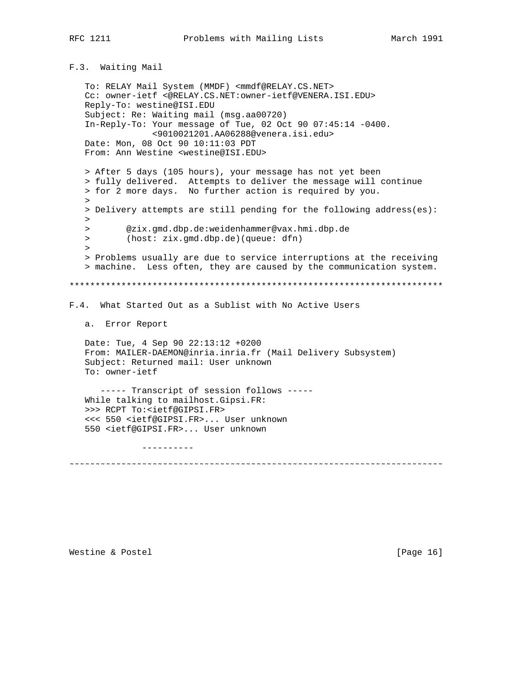F.3. Waiting Mail

```
 To: RELAY Mail System (MMDF) <mmdf@RELAY.CS.NET>
    Cc: owner-ietf <@RELAY.CS.NET:owner-ietf@VENERA.ISI.EDU>
   Reply-To: westine@ISI.EDU
    Subject: Re: Waiting mail (msg.aa00720)
    In-Reply-To: Your message of Tue, 02 Oct 90 07:45:14 -0400.
                 <9010021201.AA06288@venera.isi.edu>
   Date: Mon, 08 Oct 90 10:11:03 PDT
   From: Ann Westine <westine@ISI.EDU>
   > After 5 days (105 hours), your message has not yet been
    > fully delivered. Attempts to deliver the message will continue
    > for 2 more days. No further action is required by you.
\rightarrow > Delivery attempts are still pending for the following address(es):
   > > @zix.gmd.dbp.de:weidenhammer@vax.hmi.dbp.de
   > (host: zix.gmd.dbp.de)(queue: dfn)
\rightarrow > Problems usually are due to service interruptions at the receiving
    > machine. Less often, they are caused by the communication system.
************************************************************************
F.4. What Started Out as a Sublist with No Active Users
   a. Error Report
   Date: Tue, 4 Sep 90 22:13:12 +0200
   From: MAILER-DAEMON@inria.inria.fr (Mail Delivery Subsystem)
   Subject: Returned mail: User unknown
   To: owner-ietf
       ----- Transcript of session follows -----
   While talking to mailhost.Gipsi.FR:
    >>> RCPT To:<ietf@GIPSI.FR>
    <<< 550 <ietf@GIPSI.FR>... User unknown
    550 <ietf@GIPSI.FR>... User unknown
               ----------
˜˜˜˜˜˜˜˜˜˜˜˜˜˜˜˜˜˜˜˜˜˜˜˜˜˜˜˜˜˜˜˜˜˜˜˜˜˜˜˜˜˜˜˜˜˜˜˜˜˜˜˜˜˜˜˜˜˜˜˜˜˜˜˜˜˜˜˜˜˜˜˜
```
Westine & Postel [Page 16]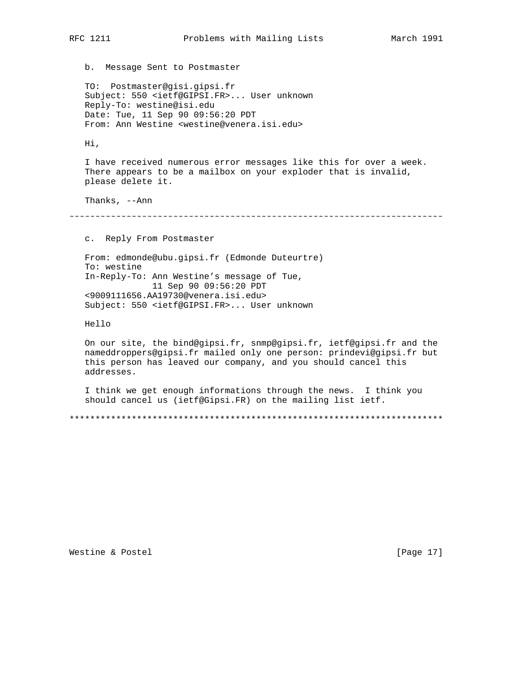b. Message Sent to Postmaster

 TO: Postmaster@gisi.gipsi.fr Subject: 550 <ietf@GIPSI.FR>... User unknown Reply-To: westine@isi.edu Date: Tue, 11 Sep 90 09:56:20 PDT From: Ann Westine <westine@venera.isi.edu>

Hi,

 I have received numerous error messages like this for over a week. There appears to be a mailbox on your exploder that is invalid, please delete it.

Thanks, --Ann

˜˜˜˜˜˜˜˜˜˜˜˜˜˜˜˜˜˜˜˜˜˜˜˜˜˜˜˜˜˜˜˜˜˜˜˜˜˜˜˜˜˜˜˜˜˜˜˜˜˜˜˜˜˜˜˜˜˜˜˜˜˜˜˜˜˜˜˜˜˜˜˜

c. Reply From Postmaster

 From: edmonde@ubu.gipsi.fr (Edmonde Duteurtre) To: westine In-Reply-To: Ann Westine's message of Tue, 11 Sep 90 09:56:20 PDT <9009111656.AA19730@venera.isi.edu> Subject: 550 <ietf@GIPSI.FR>... User unknown

Hello

 On our site, the bind@gipsi.fr, snmp@gipsi.fr, ietf@gipsi.fr and the nameddroppers@gipsi.fr mailed only one person: prindevi@gipsi.fr but this person has leaved our company, and you should cancel this addresses.

 I think we get enough informations through the news. I think you should cancel us (ietf@Gipsi.FR) on the mailing list ietf.

\*\*\*\*\*\*\*\*\*\*\*\*\*\*\*\*\*\*\*\*\*\*\*\*\*\*\*\*\*\*\*\*\*\*\*\*\*\*\*\*\*\*\*\*\*\*\*\*\*\*\*\*\*\*\*\*\*\*\*\*\*\*\*\*\*\*\*\*\*\*\*\*

Westine & Postel [Page 17]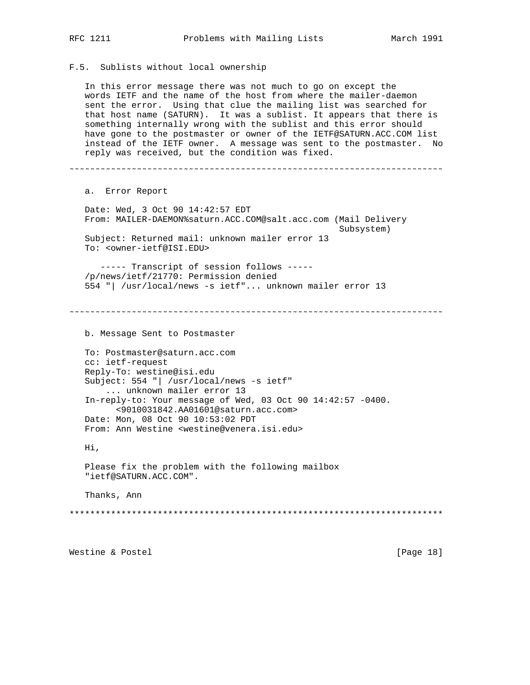F.5. Sublists without local ownership

 In this error message there was not much to go on except the words IETF and the name of the host from where the mailer-daemon sent the error. Using that clue the mailing list was searched for that host name (SATURN). It was a sublist. It appears that there is something internally wrong with the sublist and this error should have gone to the postmaster or owner of the IETF@SATURN.ACC.COM list instead of the IETF owner. A message was sent to the postmaster. No reply was received, but the condition was fixed. ˜˜˜˜˜˜˜˜˜˜˜˜˜˜˜˜˜˜˜˜˜˜˜˜˜˜˜˜˜˜˜˜˜˜˜˜˜˜˜˜˜˜˜˜˜˜˜˜˜˜˜˜˜˜˜˜˜˜˜˜˜˜˜˜˜˜˜˜˜˜˜˜ a. Error Report Date: Wed, 3 Oct 90 14:42:57 EDT From: MAILER-DAEMON%saturn.ACC.COM@salt.acc.com (Mail Delivery Subsystem) Subject: Returned mail: unknown mailer error 13 To: <owner-ietf@ISI.EDU> ----- Transcript of session follows ----- /p/news/ietf/21770: Permission denied 554 "| /usr/local/news -s ietf"... unknown mailer error 13 ˜˜˜˜˜˜˜˜˜˜˜˜˜˜˜˜˜˜˜˜˜˜˜˜˜˜˜˜˜˜˜˜˜˜˜˜˜˜˜˜˜˜˜˜˜˜˜˜˜˜˜˜˜˜˜˜˜˜˜˜˜˜˜˜˜˜˜˜˜˜˜˜ b. Message Sent to Postmaster To: Postmaster@saturn.acc.com cc: ietf-request Reply-To: westine@isi.edu Subject: 554 "| /usr/local/news -s ietf" ... unknown mailer error 13 In-reply-to: Your message of Wed, 03 Oct 90 14:42:57 -0400. <9010031842.AA01601@saturn.acc.com> Date: Mon, 08 Oct 90 10:53:02 PDT From: Ann Westine <westine@venera.isi.edu> Hi, Please fix the problem with the following mailbox "ietf@SATURN.ACC.COM". Thanks, Ann \*\*\*\*\*\*\*\*\*\*\*\*\*\*\*\*\*\*\*\*\*\*\*\*\*\*\*\*\*\*\*\*\*\*\*\*\*\*\*\*\*\*\*\*\*\*\*\*\*\*\*\*\*\*\*\*\*\*\*\*\*\*\*\*\*\*\*\*\*\*\*\* Westine & Postel [Page 18]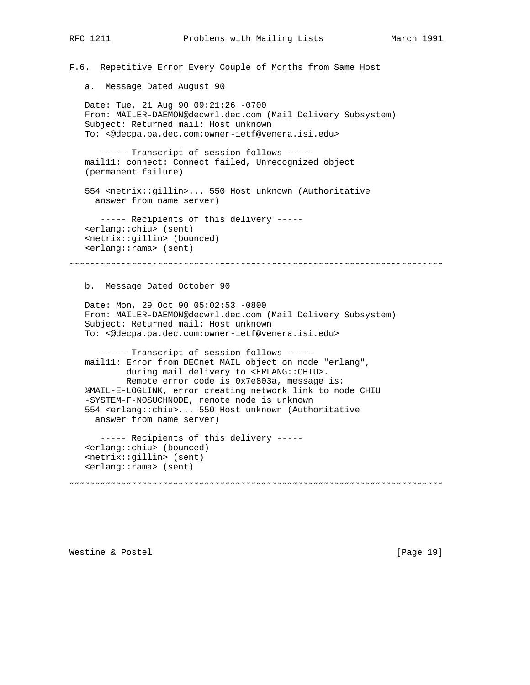F.6. Repetitive Error Every Couple of Months from Same Host

a. Message Dated August 90

 Date: Tue, 21 Aug 90 09:21:26 -0700 From: MAILER-DAEMON@decwrl.dec.com (Mail Delivery Subsystem) Subject: Returned mail: Host unknown To: <@decpa.pa.dec.com:owner-ietf@venera.isi.edu>

 ----- Transcript of session follows ---- mail11: connect: Connect failed, Unrecognized object (permanent failure)

 554 <netrix::gillin>... 550 Host unknown (Authoritative answer from name server)

 ----- Recipients of this delivery ----- <erlang::chiu> (sent) <netrix::gillin> (bounced) <erlang::rama> (sent)

˜˜˜˜˜˜˜˜˜˜˜˜˜˜˜˜˜˜˜˜˜˜˜˜˜˜˜˜˜˜˜˜˜˜˜˜˜˜˜˜˜˜˜˜˜˜˜˜˜˜˜˜˜˜˜˜˜˜˜˜˜˜˜˜˜˜˜˜˜˜˜˜

b. Message Dated October 90

 Date: Mon, 29 Oct 90 05:02:53 -0800 From: MAILER-DAEMON@decwrl.dec.com (Mail Delivery Subsystem) Subject: Returned mail: Host unknown To: <@decpa.pa.dec.com:owner-ietf@venera.isi.edu>

 ----- Transcript of session follows ---- mail11: Error from DECnet MAIL object on node "erlang", during mail delivery to <ERLANG::CHIU>. Remote error code is 0x7e803a, message is: %MAIL-E-LOGLINK, error creating network link to node CHIU -SYSTEM-F-NOSUCHNODE, remote node is unknown 554 <erlang::chiu>... 550 Host unknown (Authoritative answer from name server)

 ----- Recipients of this delivery ----- <erlang::chiu> (bounced) <netrix::gillin> (sent) <erlang::rama> (sent)

˜˜˜˜˜˜˜˜˜˜˜˜˜˜˜˜˜˜˜˜˜˜˜˜˜˜˜˜˜˜˜˜˜˜˜˜˜˜˜˜˜˜˜˜˜˜˜˜˜˜˜˜˜˜˜˜˜˜˜˜˜˜˜˜˜˜˜˜˜˜˜˜

Westine & Postel [Page 19]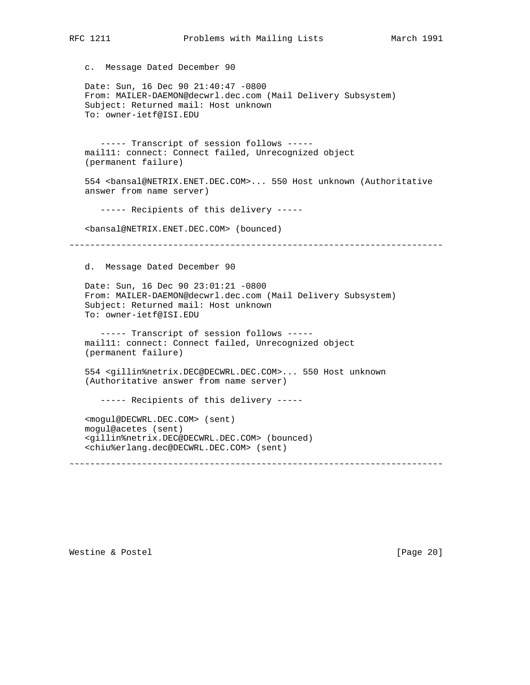| c. Message Dated December 90                                                                                                                                                                                                                  |
|-----------------------------------------------------------------------------------------------------------------------------------------------------------------------------------------------------------------------------------------------|
| Date: Sun, 16 Dec 90 21:40:47 -0800<br>From: MAILER-DAEMON@decwrl.dec.com (Mail Delivery Subsystem)<br>Subject: Returned mail: Host unknown<br>To: owner-ietf@ISI.EDU                                                                         |
| ----- Transcript of session follows -----<br>mail11: connect: Connect failed, Unrecognized object<br>(permanent failure)                                                                                                                      |
| 554 <bansal@netrix.enet.dec.com> 550 Host unknown (Authoritative<br/>answer from name server)</bansal@netrix.enet.dec.com>                                                                                                                    |
| ----- Recipients of this delivery -----                                                                                                                                                                                                       |
| <bansal@netrix.enet.dec.com> (bounced)</bansal@netrix.enet.dec.com>                                                                                                                                                                           |
|                                                                                                                                                                                                                                               |
| d.<br>Message Dated December 90                                                                                                                                                                                                               |
| Date: Sun, 16 Dec 90 23:01:21 -0800<br>From: MAILER-DAEMON@decwrl.dec.com (Mail Delivery Subsystem)<br>Subject: Returned mail: Host unknown<br>To: owner-ietf@ISI.EDU                                                                         |
| ----- Transcript of session follows -----<br>mail11: connect: Connect failed, Unrecognized object<br>(permanent failure)                                                                                                                      |
| 554 <qillin%netrix.dec@decwrl.dec.com> 550 Host unknown<br/>(Authoritative answer from name server)</qillin%netrix.dec@decwrl.dec.com>                                                                                                        |
| ----- Recipients of this delivery -----                                                                                                                                                                                                       |
| <moqul@decwrl.dec.com> (sent)<br/>mogul@acetes (sent)<br/><gillin%netrix.dec@decwrl.dec.com> (bounced)<br/><chiu%erlang.dec@decwrl.dec.com> (sent)</chiu%erlang.dec@decwrl.dec.com></gillin%netrix.dec@decwrl.dec.com></moqul@decwrl.dec.com> |
|                                                                                                                                                                                                                                               |

RFC 1211 **Problems with Mailing Lists** March 1991

Westine & Postel **Mestine & Postel**  $[Page 20]$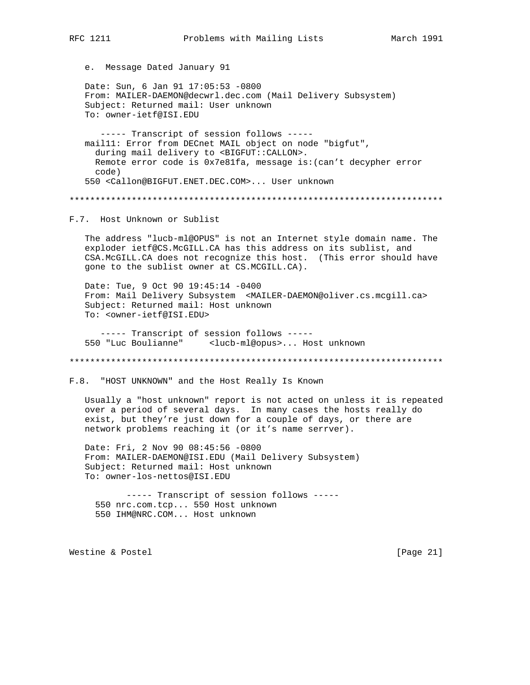e. Message Dated January 91

Date: Sun, 6 Jan 91 17:05:53 -0800 From: MAILER-DAEMON@decwrl.dec.com (Mail Delivery Subsystem) Subject: Returned mail: User unknown To: owner-ietf@ISI.EDU

----- Transcript of session follows ----maill1: Error from DECnet MAIL object on node "bigfut", during mail delivery to <BIGFUT:: CALLON>. Remote error code is 0x7e81fa, message is: (can't decypher error  $(abc)$ 550 <Callon@BIGFUT.ENET.DEC.COM>... User unknown

F.7. Host Unknown or Sublist

The address "lucb-ml@OPUS" is not an Internet style domain name. The exploder ietf@CS.McGILL.CA has this address on its sublist, and CSA. McGILL. CA does not recognize this host. (This error should have gone to the sublist owner at CS.MCGILL.CA).

Date: Tue, 9 Oct 90 19:45:14 -0400 From: Mail Delivery Subsystem <MAILER-DAEMON@oliver.cs.mcgill.ca> Subject: Returned mail: Host unknown To: <owner-ietf@ISI.EDU>

----- Transcript of session follows -----550 "Luc Boulianne" <lucb-ml@opus>... Host unknown

F.8. "HOST UNKNOWN" and the Host Really Is Known

Usually a "host unknown" report is not acted on unless it is repeated over a period of several days. In many cases the hosts really do exist, but they're just down for a couple of days, or there are network problems reaching it (or it's name serrver).

Date: Fri, 2 Nov 90 08:45:56 -0800 From: MAILER-DAEMON@ISI.EDU (Mail Delivery Subsystem) Subject: Returned mail: Host unknown To: owner-los-nettos@ISI.EDU

----- Transcript of session follows -----550 nrc.com.tcp... 550 Host unknown 550 IHM@NRC.COM... Host unknown

Westine & Postel

[Page  $21$ ]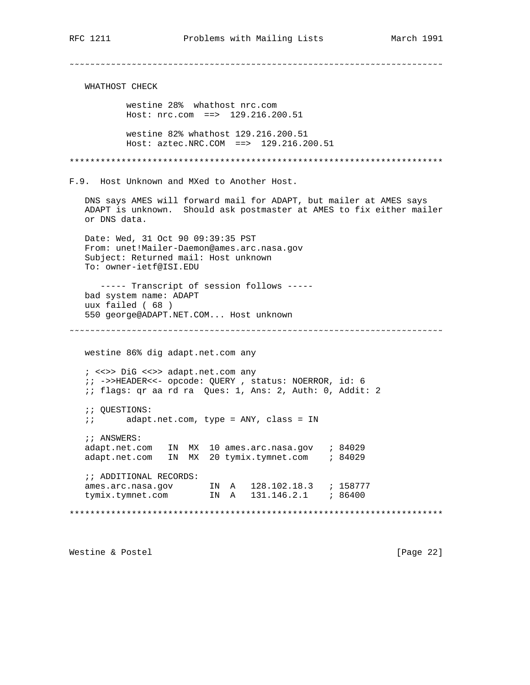WHATHOST CHECK westine 28% whathost nrc.com Host: nrc.com ==> 129.216.200.51 westine 82% whathost 129.216.200.51 Host: aztec.NRC.COM ==> 129.216.200.51 F.9. Host Unknown and MXed to Another Host. DNS says AMES will forward mail for ADAPT, but mailer at AMES says ADAPT is unknown. Should ask postmaster at AMES to fix either mailer or DNS data. Date: Wed, 31 Oct 90 09:39:35 PST From: unet!Mailer-Daemon@ames.arc.nasa.gov Subject: Returned mail: Host unknown To: owner-ietf@ISI.EDU ----- Transcript of session follows ----bad system name: ADAPT uux failed (68) 550 george@ADAPT.NET.COM... Host unknown westine 86% dig adapt.net.com any ; <<>> DiG <<>> adapt.net.com any ;; ->>HEADER<<- opcode: QUERY, status: NOERROR, id: 6 : i flags: qr aa rd ra Ques: 1, Ans: 2, Auth: 0, Addit: 2 *;;* QUESTIONS: *ii* adapt.net.com, type = ANY, class = IN ;; ANSWERS: adapt.net.com IN MX 20 tymix.tymnet.com ; 84029 *; ; ADDITIONAL RECORDS:* 

Westine & Postel

[Page 22]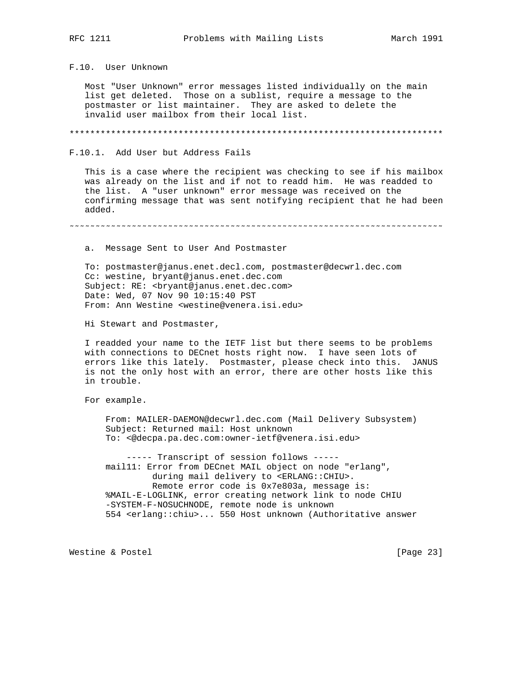F.10. User Unknown

 Most "User Unknown" error messages listed individually on the main list get deleted. Those on a sublist, require a message to the postmaster or list maintainer. They are asked to delete the invalid user mailbox from their local list.

\*\*\*\*\*\*\*\*\*\*\*\*\*\*\*\*\*\*\*\*\*\*\*\*\*\*\*\*\*\*\*\*\*\*\*\*\*\*\*\*\*\*\*\*\*\*\*\*\*\*\*\*\*\*\*\*\*\*\*\*\*\*\*\*\*\*\*\*\*\*\*\*

F.10.1. Add User but Address Fails

 This is a case where the recipient was checking to see if his mailbox was already on the list and if not to readd him. He was readded to the list. A "user unknown" error message was received on the confirming message that was sent notifying recipient that he had been added.

˜˜˜˜˜˜˜˜˜˜˜˜˜˜˜˜˜˜˜˜˜˜˜˜˜˜˜˜˜˜˜˜˜˜˜˜˜˜˜˜˜˜˜˜˜˜˜˜˜˜˜˜˜˜˜˜˜˜˜˜˜˜˜˜˜˜˜˜˜˜˜˜

a. Message Sent to User And Postmaster

 To: postmaster@janus.enet.decl.com, postmaster@decwrl.dec.com Cc: westine, bryant@janus.enet.dec.com Subject: RE: <br/> <br/> <br/> <br/>s.enet.dec.com> Date: Wed, 07 Nov 90 10:15:40 PST From: Ann Westine <westine@venera.isi.edu>

Hi Stewart and Postmaster,

 I readded your name to the IETF list but there seems to be problems with connections to DECnet hosts right now. I have seen lots of errors like this lately. Postmaster, please check into this. JANUS is not the only host with an error, there are other hosts like this in trouble.

For example.

 From: MAILER-DAEMON@decwrl.dec.com (Mail Delivery Subsystem) Subject: Returned mail: Host unknown To: <@decpa.pa.dec.com:owner-ietf@venera.isi.edu>

 ----- Transcript of session follows ---- mail11: Error from DECnet MAIL object on node "erlang", during mail delivery to <ERLANG::CHIU>. Remote error code is 0x7e803a, message is: %MAIL-E-LOGLINK, error creating network link to node CHIU -SYSTEM-F-NOSUCHNODE, remote node is unknown 554 <erlang::chiu>... 550 Host unknown (Authoritative answer

Westine & Postel [Page 23]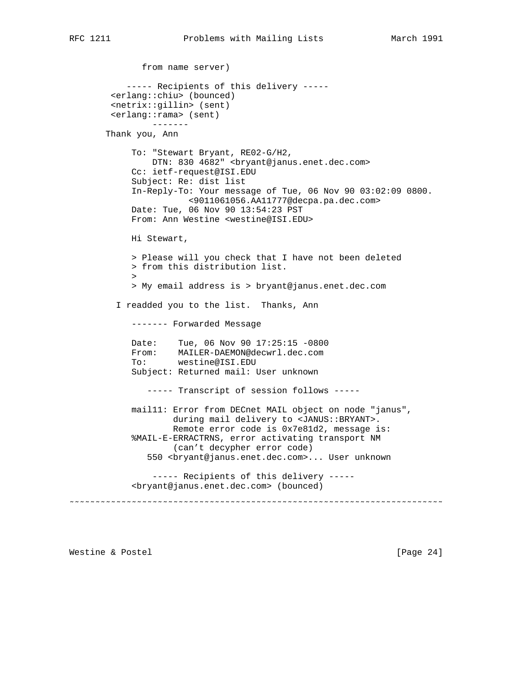```
 from name server)
            ----- Recipients of this delivery -----
         <erlang::chiu> (bounced)
         <netrix::gillin> (sent)
         <erlang::rama> (sent)
                 -------
        Thank you, Ann
             To: "Stewart Bryant, RE02-G/H2,
                DTN: 830 4682" <br/> <br/> <br/> <br/>panus.enet.dec.com>
             Cc: ietf-request@ISI.EDU
             Subject: Re: dist list
             In-Reply-To: Your message of Tue, 06 Nov 90 03:02:09 0800.
                        <9011061056.AA11777@decpa.pa.dec.com>
             Date: Tue, 06 Nov 90 13:54:23 PST
             From: Ann Westine <westine@ISI.EDU>
             Hi Stewart,
             > Please will you check that I have not been deleted
             > from this distribution list.
\rightarrow > My email address is > bryant@janus.enet.dec.com
          I readded you to the list. Thanks, Ann
             ------- Forwarded Message
             Date: Tue, 06 Nov 90 17:25:15 -0800
             From: MAILER-DAEMON@decwrl.dec.com
             To: westine@ISI.EDU
             Subject: Returned mail: User unknown
                ----- Transcript of session follows -----
             mail11: Error from DECnet MAIL object on node "janus",
                     during mail delivery to <JANUS::BRYANT>.
                     Remote error code is 0x7e81d2, message is:
             %MAIL-E-ERRACTRNS, error activating transport NM
                     (can't decypher error code)
                550 <bryant@janus.enet.dec.com>... User unknown
                 ----- Recipients of this delivery -----
             <bryant@janus.enet.dec.com> (bounced)
˜˜˜˜˜˜˜˜˜˜˜˜˜˜˜˜˜˜˜˜˜˜˜˜˜˜˜˜˜˜˜˜˜˜˜˜˜˜˜˜˜˜˜˜˜˜˜˜˜˜˜˜˜˜˜˜˜˜˜˜˜˜˜˜˜˜˜˜˜˜˜˜
```
Westine & Postel [Page 24]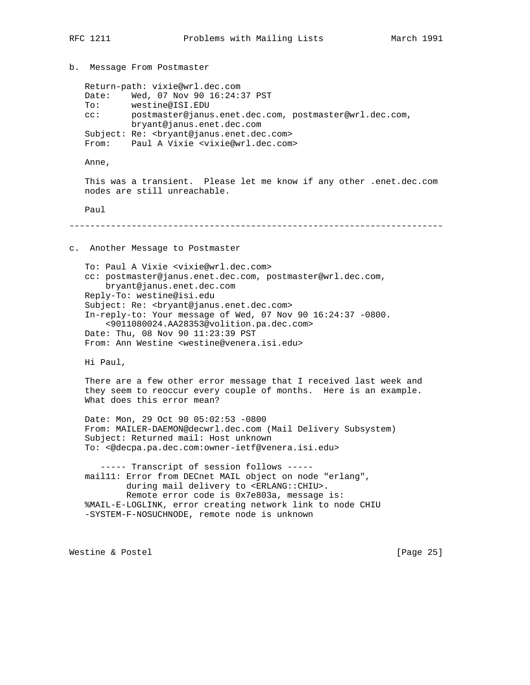```
b. Message From Postmaster
    Return-path: vixie@wrl.dec.com
   Date: Wed, 07 Nov 90 16:24:37 PST
   To: westine@ISI.EDU
   cc: postmaster@janus.enet.dec.com, postmaster@wrl.dec.com,
            bryant@janus.enet.dec.com
   Subject: Re: <bryant@janus.enet.dec.com>
  From: Paul A Vixie <vixie@wrl.dec.com>
   Anne,
   This was a transient. Please let me know if any other .enet.dec.com
   nodes are still unreachable.
   Paul
˜˜˜˜˜˜˜˜˜˜˜˜˜˜˜˜˜˜˜˜˜˜˜˜˜˜˜˜˜˜˜˜˜˜˜˜˜˜˜˜˜˜˜˜˜˜˜˜˜˜˜˜˜˜˜˜˜˜˜˜˜˜˜˜˜˜˜˜˜˜˜˜
c. Another Message to Postmaster
   To: Paul A Vixie <vixie@wrl.dec.com>
    cc: postmaster@janus.enet.dec.com, postmaster@wrl.dec.com,
       bryant@janus.enet.dec.com
   Reply-To: westine@isi.edu
    Subject: Re: <bryant@janus.enet.dec.com>
    In-reply-to: Your message of Wed, 07 Nov 90 16:24:37 -0800.
        <9011080024.AA28353@volition.pa.dec.com>
   Date: Thu, 08 Nov 90 11:23:39 PST
   From: Ann Westine <westine@venera.isi.edu>
   Hi Paul,
   There are a few other error message that I received last week and
    they seem to reoccur every couple of months. Here is an example.
   What does this error mean?
    Date: Mon, 29 Oct 90 05:02:53 -0800
    From: MAILER-DAEMON@decwrl.dec.com (Mail Delivery Subsystem)
    Subject: Returned mail: Host unknown
   To: <@decpa.pa.dec.com:owner-ietf@venera.isi.edu>
      ----- Transcript of session follows -----
   mail11: Error from DECnet MAIL object on node "erlang",
           during mail delivery to <ERLANG::CHIU>.
           Remote error code is 0x7e803a, message is:
    %MAIL-E-LOGLINK, error creating network link to node CHIU
    -SYSTEM-F-NOSUCHNODE, remote node is unknown
Westine & Postel [Page 25]
```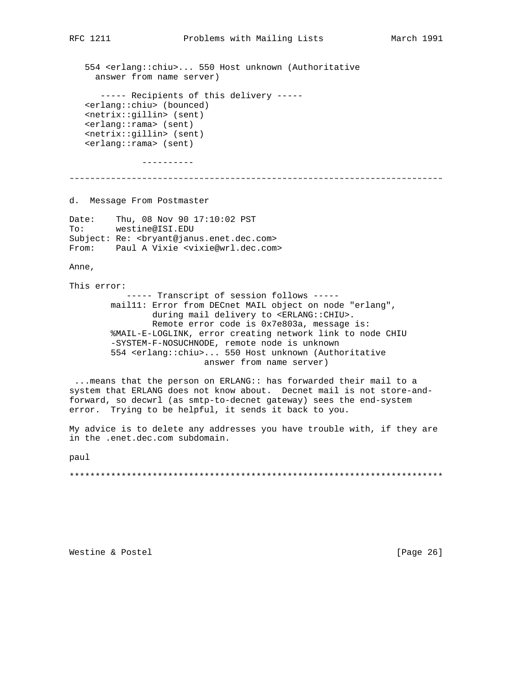554 <erlang::chiu>... 550 Host unknown (Authoritative answer from name server)

----- Recipients of this delivery -----<erlang::chiu> (bounced) <netrix::gillin> (sent) <erlang::rama> (sent) <netrix::gillin> (sent) <erlang::rama> (sent)

----------

d. Message From Postmaster

Date: Thu, 08 Nov 90 17:10:02 PST  $To:$ westine@ISI.EDU Subject: Re: <bryant@janus.enet.dec.com> From: Paul A Vixie <vixie@wrl.dec.com>

Anne,

This error:

----- Transcript of session follows ----maill1: Error from DECnet MAIL object on node "erlang", during mail delivery to <ERLANG:: CHIU>. Remote error code is 0x7e803a, message is: %MAIL-E-LOGLINK, error creating network link to node CHIU -SYSTEM-F-NOSUCHNODE, remote node is unknown 554 <erlang::chiu>... 550 Host unknown (Authoritative answer from name server)

... means that the person on ERLANG:: has forwarded their mail to a system that ERLANG does not know about. Decnet mail is not store-andforward, so decwrl (as smtp-to-decnet gateway) sees the end-system error. Trying to be helpful, it sends it back to you.

My advice is to delete any addresses you have trouble with, if they are in the .enet.dec.com subdomain.

paul

Westine & Postel

[Page 26]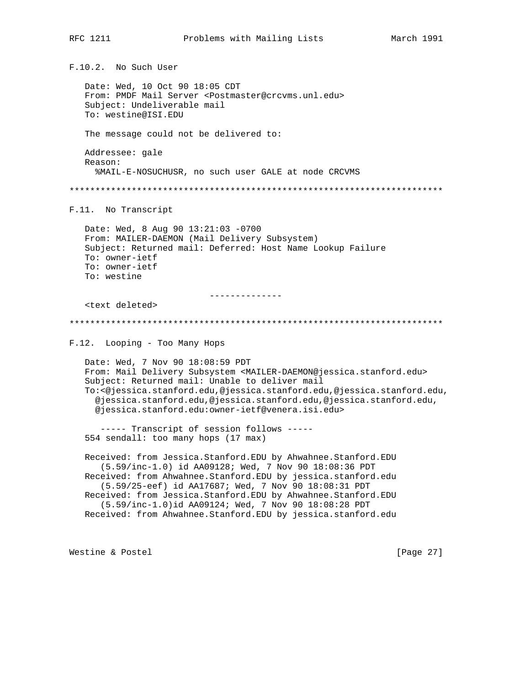F.10.2. No Such User

Date: Wed, 10 Oct 90 18:05 CDT From: PMDF Mail Server <Postmaster@crcvms.unl.edu> Subject: Undeliverable mail To: westine@ISI.EDU

The message could not be delivered to:

Addressee: gale Reason: %MAIL-E-NOSUCHUSR, no such user GALE at node CRCVMS

F.11. No Transcript

Date: Wed, 8 Aug 90 13:21:03 -0700 From: MAILER-DAEMON (Mail Delivery Subsystem) Subject: Returned mail: Deferred: Host Name Lookup Failure To: owner-ietf To: owner-ietf To: westine

\_\_\_\_\_\_\_\_\_\_\_\_\_\_

<text deleted>

F.12. Looping - Too Many Hops

Date: Wed, 7 Nov 90 18:08:59 PDT From: Mail Delivery Subsystem <MAILER-DAEMON@jessica.stanford.edu> Subject: Returned mail: Unable to deliver mail To:<@jessica.stanford.edu,@jessica.stanford.edu,@jessica.stanford.edu, @jessica.stanford.edu,@jessica.stanford.edu,@jessica.stanford.edu, @jessica.stanford.edu:owner-ietf@venera.isi.edu>

----- Transcript of session follows -----554 sendall: too many hops (17 max)

Received: from Jessica.Stanford.EDU by Ahwahnee.Stanford.EDU (5.59/inc-1.0) id AA09128; Wed, 7 Nov 90 18:08:36 PDT Received: from Ahwahnee.Stanford.EDU by jessica.stanford.edu (5.59/25-eef) id AA17687; Wed, 7 Nov 90 18:08:31 PDT Received: from Jessica.Stanford.EDU by Ahwahnee.Stanford.EDU (5.59/inc-1.0)id AA09124; Wed, 7 Nov 90 18:08:28 PDT Received: from Ahwahnee.Stanford.EDU by jessica.stanford.edu

Westine & Postel

[Page 27]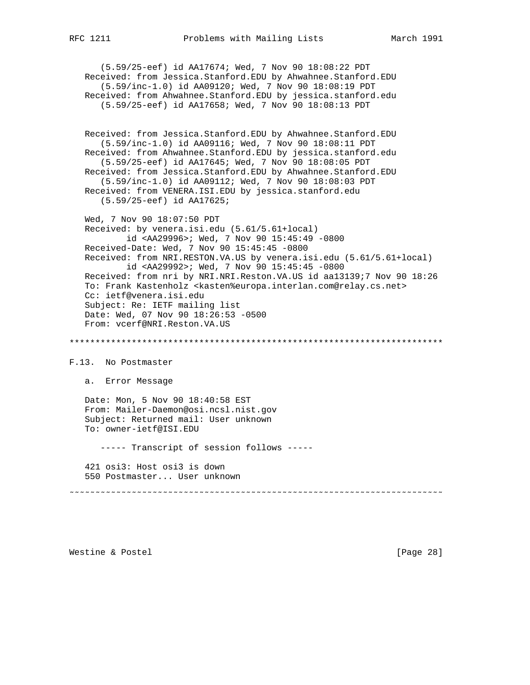(5.59/25-eef) id AA17674; Wed, 7 Nov 90 18:08:22 PDT Received: from Jessica.Stanford.EDU by Ahwahnee.Stanford.EDU (5.59/inc-1.0) id AA09120; Wed, 7 Nov 90 18:08:19 PDT Received: from Ahwahnee.Stanford.EDU by jessica.stanford.edu (5.59/25-eef) id AA17658; Wed, 7 Nov 90 18:08:13 PDT Received: from Jessica.Stanford.EDU by Ahwahnee.Stanford.EDU (5.59/inc-1.0) id AA09116; Wed, 7 Nov 90 18:08:11 PDT Received: from Ahwahnee.Stanford.EDU by jessica.stanford.edu (5.59/25-eef) id AA17645; Wed, 7 Nov 90 18:08:05 PDT Received: from Jessica.Stanford.EDU by Ahwahnee.Stanford.EDU (5.59/inc-1.0) id AA09112; Wed, 7 Nov 90 18:08:03 PDT Received: from VENERA.ISI.EDU by jessica.stanford.edu (5.59/25-eef) id AA17625; Wed, 7 Nov 90 18:07:50 PDT Received: by venera.isi.edu (5.61/5.61+local) id <AA29996>; Wed, 7 Nov 90 15:45:49 -0800 Received-Date: Wed, 7 Nov 90 15:45:45 -0800 Received: from NRI.RESTON.VA.US by venera.isi.edu (5.61/5.61+local) id <AA29992>; Wed, 7 Nov 90 15:45:45 -0800 Received: from nri by NRI.NRI.Reston.VA.US id aa13139;7 Nov 90 18:26 To: Frank Kastenholz <kasten%europa.interlan.com@relay.cs.net> Cc: ietf@venera.isi.edu Subject: Re: IETF mailing list Date: Wed, 07 Nov 90 18:26:53 -0500 From: vcerf@NRI.Reston.VA.US \*\*\*\*\*\*\*\*\*\*\*\*\*\*\*\*\*\*\*\*\*\*\*\*\*\*\*\*\*\*\*\*\*\*\*\*\*\*\*\*\*\*\*\*\*\*\*\*\*\*\*\*\*\*\*\*\*\*\*\*\*\*\*\*\*\*\*\*\*\*\*\* F.13. No Postmaster a. Error Message Date: Mon, 5 Nov 90 18:40:58 EST From: Mailer-Daemon@osi.ncsl.nist.gov Subject: Returned mail: User unknown To: owner-ietf@ISI.EDU ----- Transcript of session follows ----- 421 osi3: Host osi3 is down 550 Postmaster... User unknown ˜˜˜˜˜˜˜˜˜˜˜˜˜˜˜˜˜˜˜˜˜˜˜˜˜˜˜˜˜˜˜˜˜˜˜˜˜˜˜˜˜˜˜˜˜˜˜˜˜˜˜˜˜˜˜˜˜˜˜˜˜˜˜˜˜˜˜˜˜˜˜˜

Westine & Postel [Page 28]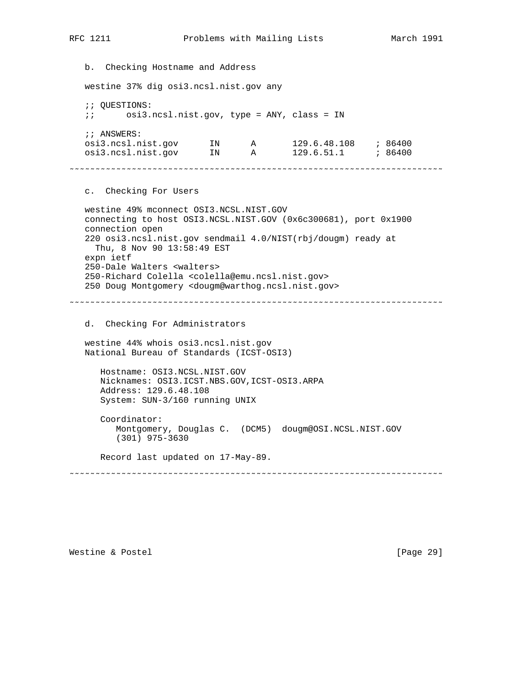b. Checking Hostname and Address westine 37% dig osi3.ncsl.nist.gov any ;; QUESTIONS: ;; osi3.ncsl.nist.gov, type = ANY, class = IN ;; ANSWERS: osi3.ncsl.nist.gov IN A 129.6.48.108 ; 86400 osi3.ncsl.nist.gov IN A 129.6.51.1 ; 86400 ˜˜˜˜˜˜˜˜˜˜˜˜˜˜˜˜˜˜˜˜˜˜˜˜˜˜˜˜˜˜˜˜˜˜˜˜˜˜˜˜˜˜˜˜˜˜˜˜˜˜˜˜˜˜˜˜˜˜˜˜˜˜˜˜˜˜˜˜˜˜˜˜ c. Checking For Users westine 49% mconnect OSI3.NCSL.NIST.GOV connecting to host OSI3.NCSL.NIST.GOV (0x6c300681), port 0x1900 connection open 220 osi3.ncsl.nist.gov sendmail 4.0/NIST(rbj/dougm) ready at Thu, 8 Nov 90 13:58:49 EST expn ietf 250-Dale Walters <walters> 250-Richard Colella <colella@emu.ncsl.nist.gov> 250 Doug Montgomery <dougm@warthog.ncsl.nist.gov> ˜˜˜˜˜˜˜˜˜˜˜˜˜˜˜˜˜˜˜˜˜˜˜˜˜˜˜˜˜˜˜˜˜˜˜˜˜˜˜˜˜˜˜˜˜˜˜˜˜˜˜˜˜˜˜˜˜˜˜˜˜˜˜˜˜˜˜˜˜˜˜˜ d. Checking For Administrators westine 44% whois osi3.ncsl.nist.gov National Bureau of Standards (ICST-OSI3) Hostname: OSI3.NCSL.NIST.GOV Nicknames: OSI3.ICST.NBS.GOV,ICST-OSI3.ARPA Address: 129.6.48.108 System: SUN-3/160 running UNIX Coordinator: Montgomery, Douglas C. (DCM5) dougm@OSI.NCSL.NIST.GOV (301) 975-3630 Record last updated on 17-May-89. ˜˜˜˜˜˜˜˜˜˜˜˜˜˜˜˜˜˜˜˜˜˜˜˜˜˜˜˜˜˜˜˜˜˜˜˜˜˜˜˜˜˜˜˜˜˜˜˜˜˜˜˜˜˜˜˜˜˜˜˜˜˜˜˜˜˜˜˜˜˜˜˜

Westine & Postel [Page 29]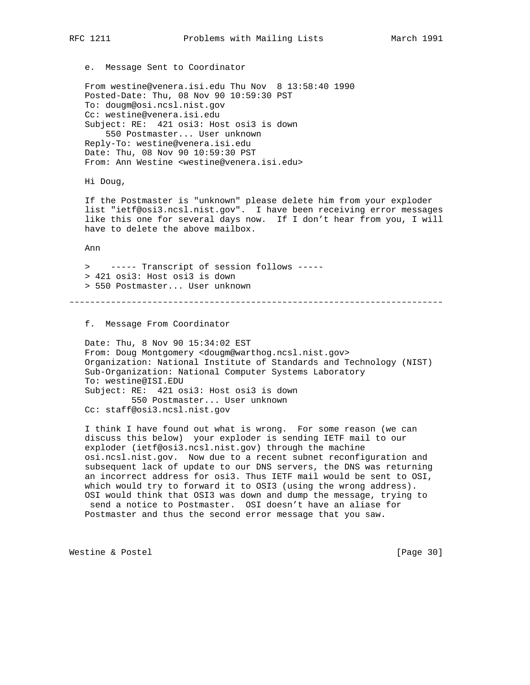e. Message Sent to Coordinator

 From westine@venera.isi.edu Thu Nov 8 13:58:40 1990 Posted-Date: Thu, 08 Nov 90 10:59:30 PST To: dougm@osi.ncsl.nist.gov Cc: westine@venera.isi.edu Subject: RE: 421 osi3: Host osi3 is down 550 Postmaster... User unknown Reply-To: westine@venera.isi.edu Date: Thu, 08 Nov 90 10:59:30 PST From: Ann Westine <westine@venera.isi.edu>

Hi Doug,

 If the Postmaster is "unknown" please delete him from your exploder list "ietf@osi3.ncsl.nist.gov". I have been receiving error messages like this one for several days now. If I don't hear from you, I will have to delete the above mailbox.

Ann

 > ----- Transcript of session follows ----- > 421 osi3: Host osi3 is down > 550 Postmaster... User unknown

˜˜˜˜˜˜˜˜˜˜˜˜˜˜˜˜˜˜˜˜˜˜˜˜˜˜˜˜˜˜˜˜˜˜˜˜˜˜˜˜˜˜˜˜˜˜˜˜˜˜˜˜˜˜˜˜˜˜˜˜˜˜˜˜˜˜˜˜˜˜˜˜

f. Message From Coordinator

 Date: Thu, 8 Nov 90 15:34:02 EST From: Doug Montgomery <dougm@warthog.ncsl.nist.gov> Organization: National Institute of Standards and Technology (NIST) Sub-Organization: National Computer Systems Laboratory To: westine@ISI.EDU Subject: RE: 421 osi3: Host osi3 is down 550 Postmaster... User unknown Cc: staff@osi3.ncsl.nist.gov

 I think I have found out what is wrong. For some reason (we can discuss this below) your exploder is sending IETF mail to our exploder (ietf@osi3.ncsl.nist.gov) through the machine osi.ncsl.nist.gov. Now due to a recent subnet reconfiguration and subsequent lack of update to our DNS servers, the DNS was returning an incorrect address for osi3. Thus IETF mail would be sent to OSI, which would try to forward it to OSI3 (using the wrong address). OSI would think that OSI3 was down and dump the message, trying to send a notice to Postmaster. OSI doesn't have an aliase for Postmaster and thus the second error message that you saw.

Westine & Postel [Page 30]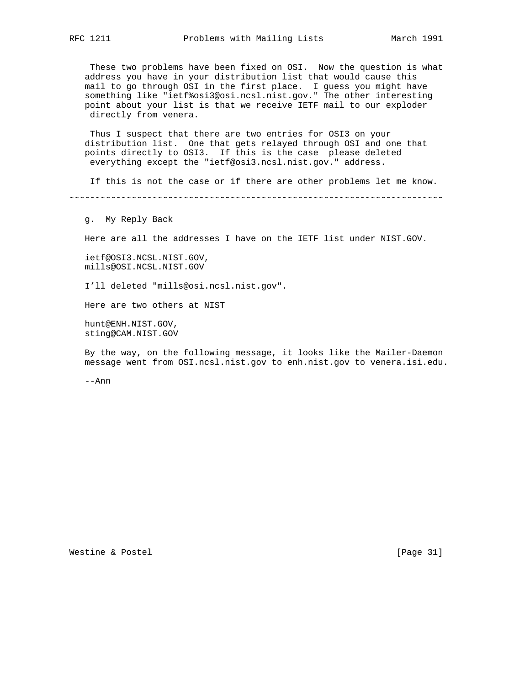These two problems have been fixed on OSI. Now the question is what address you have in your distribution list that would cause this mail to go through OSI in the first place. I guess you might have something like "ietf%osi3@osi.ncsl.nist.gov." The other interesting point about your list is that we receive IETF mail to our exploder directly from venera.

 Thus I suspect that there are two entries for OSI3 on your distribution list. One that gets relayed through OSI and one that points directly to OSI3. If this is the case please deleted everything except the "ietf@osi3.ncsl.nist.gov." address.

If this is not the case or if there are other problems let me know.

˜˜˜˜˜˜˜˜˜˜˜˜˜˜˜˜˜˜˜˜˜˜˜˜˜˜˜˜˜˜˜˜˜˜˜˜˜˜˜˜˜˜˜˜˜˜˜˜˜˜˜˜˜˜˜˜˜˜˜˜˜˜˜˜˜˜˜˜˜˜˜˜

g. My Reply Back

Here are all the addresses I have on the IETF list under NIST.GOV.

 ietf@OSI3.NCSL.NIST.GOV, mills@OSI.NCSL.NIST.GOV

I'll deleted "mills@osi.ncsl.nist.gov".

Here are two others at NIST

 hunt@ENH.NIST.GOV, sting@CAM.NIST.GOV

 By the way, on the following message, it looks like the Mailer-Daemon message went from OSI.ncsl.nist.gov to enh.nist.gov to venera.isi.edu.

--Ann

Westine & Postel [Page 31]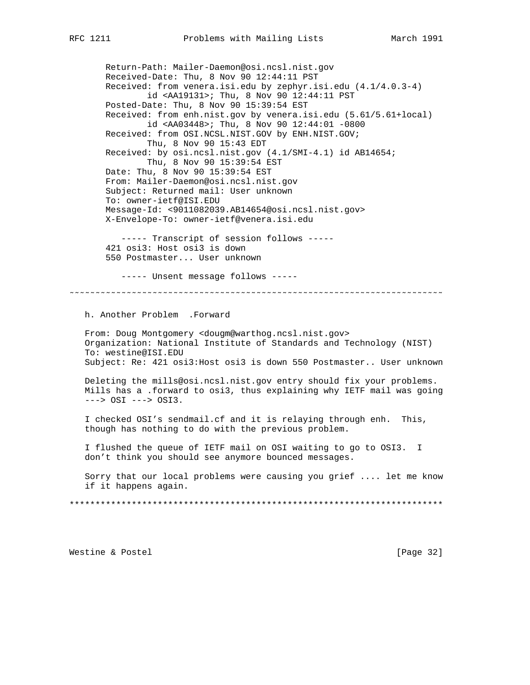Return-Path: Mailer-Daemon@osi.ncsl.nist.gov Received-Date: Thu, 8 Nov 90 12:44:11 PST Received: from venera.isi.edu by zephyr.isi.edu (4.1/4.0.3-4) id <AA19131>; Thu, 8 Nov 90 12:44:11 PST Posted-Date: Thu, 8 Nov 90 15:39:54 EST Received: from enh.nist.gov by venera.isi.edu (5.61/5.61+local) id <AA03448>; Thu, 8 Nov 90 12:44:01 -0800 Received: from OSI.NCSL.NIST.GOV by ENH.NIST.GOV; Thu, 8 Nov 90 15:43 EDT Received: by osi.ncsl.nist.gov (4.1/SMI-4.1) id AB14654; Thu, 8 Nov 90 15:39:54 EST Date: Thu, 8 Nov 90 15:39:54 EST From: Mailer-Daemon@osi.ncsl.nist.gov Subject: Returned mail: User unknown To: owner-ietf@ISI.EDU Message-Id: <9011082039.AB14654@osi.ncsl.nist.gov> X-Envelope-To: owner-ietf@venera.isi.edu ----- Transcript of session follows ----- 421 osi3: Host osi3 is down 550 Postmaster... User unknown ----- Unsent message follows ----- ˜˜˜˜˜˜˜˜˜˜˜˜˜˜˜˜˜˜˜˜˜˜˜˜˜˜˜˜˜˜˜˜˜˜˜˜˜˜˜˜˜˜˜˜˜˜˜˜˜˜˜˜˜˜˜˜˜˜˜˜˜˜˜˜˜˜˜˜˜˜˜˜

h. Another Problem .Forward

 From: Doug Montgomery <dougm@warthog.ncsl.nist.gov> Organization: National Institute of Standards and Technology (NIST) To: westine@ISI.EDU Subject: Re: 421 osi3:Host osi3 is down 550 Postmaster.. User unknown

 Deleting the mills@osi.ncsl.nist.gov entry should fix your problems. Mills has a .forward to osi3, thus explaining why IETF mail was going ---> OSI ---> OSI3.

 I checked OSI's sendmail.cf and it is relaying through enh. This, though has nothing to do with the previous problem.

 I flushed the queue of IETF mail on OSI waiting to go to OSI3. I don't think you should see anymore bounced messages.

 Sorry that our local problems were causing you grief .... let me know if it happens again.

\*\*\*\*\*\*\*\*\*\*\*\*\*\*\*\*\*\*\*\*\*\*\*\*\*\*\*\*\*\*\*\*\*\*\*\*\*\*\*\*\*\*\*\*\*\*\*\*\*\*\*\*\*\*\*\*\*\*\*\*\*\*\*\*\*\*\*\*\*\*\*\*

Westine & Postel [Page 32]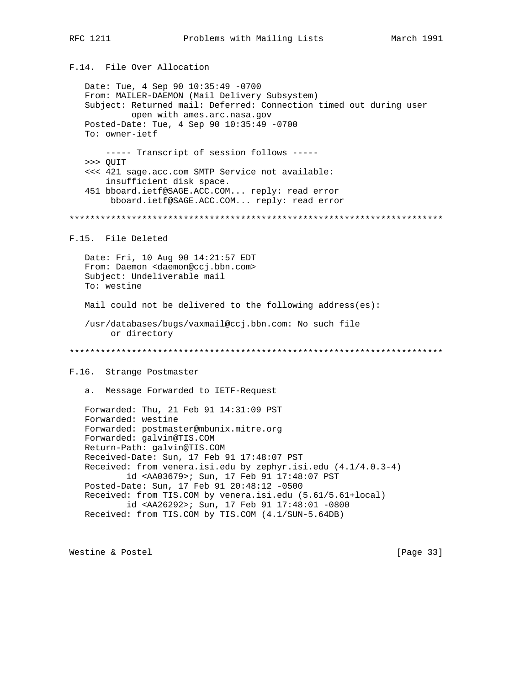# F.14. File Over Allocation

 Date: Tue, 4 Sep 90 10:35:49 -0700 From: MAILER-DAEMON (Mail Delivery Subsystem) Subject: Returned mail: Deferred: Connection timed out during user open with ames.arc.nasa.gov Posted-Date: Tue, 4 Sep 90 10:35:49 -0700 To: owner-ietf ----- Transcript of session follows ----- >>> QUIT <<< 421 sage.acc.com SMTP Service not available: insufficient disk space. 451 bboard.ietf@SAGE.ACC.COM... reply: read error bboard.ietf@SAGE.ACC.COM... reply: read error \*\*\*\*\*\*\*\*\*\*\*\*\*\*\*\*\*\*\*\*\*\*\*\*\*\*\*\*\*\*\*\*\*\*\*\*\*\*\*\*\*\*\*\*\*\*\*\*\*\*\*\*\*\*\*\*\*\*\*\*\*\*\*\*\*\*\*\*\*\*\*\* F.15. File Deleted Date: Fri, 10 Aug 90 14:21:57 EDT From: Daemon <daemon@ccj.bbn.com> Subject: Undeliverable mail To: westine Mail could not be delivered to the following address(es): /usr/databases/bugs/vaxmail@ccj.bbn.com: No such file or directory \*\*\*\*\*\*\*\*\*\*\*\*\*\*\*\*\*\*\*\*\*\*\*\*\*\*\*\*\*\*\*\*\*\*\*\*\*\*\*\*\*\*\*\*\*\*\*\*\*\*\*\*\*\*\*\*\*\*\*\*\*\*\*\*\*\*\*\*\*\*\*\* F.16. Strange Postmaster a. Message Forwarded to IETF-Request Forwarded: Thu, 21 Feb 91 14:31:09 PST Forwarded: westine Forwarded: postmaster@mbunix.mitre.org Forwarded: galvin@TIS.COM Return-Path: galvin@TIS.COM Received-Date: Sun, 17 Feb 91 17:48:07 PST Received: from venera.isi.edu by zephyr.isi.edu (4.1/4.0.3-4) id <AA03679>; Sun, 17 Feb 91 17:48:07 PST Posted-Date: Sun, 17 Feb 91 20:48:12 -0500 Received: from TIS.COM by venera.isi.edu (5.61/5.61+local) id <AA26292>; Sun, 17 Feb 91 17:48:01 -0800 Received: from TIS.COM by TIS.COM (4.1/SUN-5.64DB)

Westine & Postel [Page 33]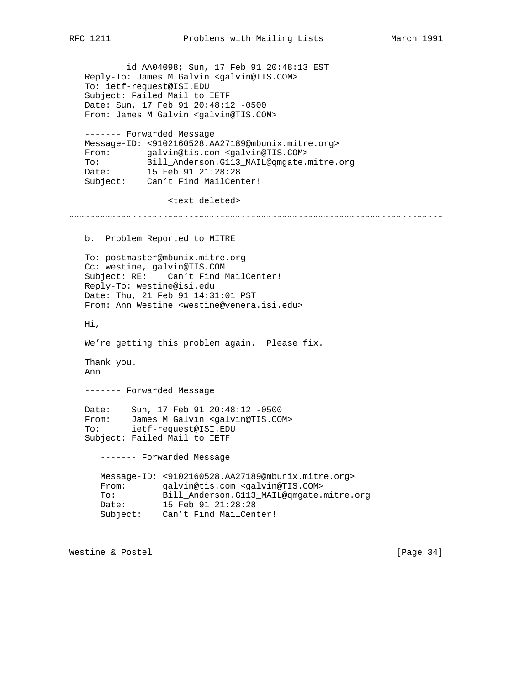id AA04098; Sun, 17 Feb 91 20:48:13 EST Reply-To: James M Galvin <galvin@TIS.COM> To: ietf-request@ISI.EDU Subject: Failed Mail to IETF Date: Sun, 17 Feb 91 20:48:12 -0500 From: James M Galvin <galvin@TIS.COM> ------- Forwarded Message Message-ID: <9102160528.AA27189@mbunix.mitre.org> From: galvin@tis.com <galvin@TIS.COM> To: Bill\_Anderson.G113\_MAIL@qmgate.mitre.org Date: 15 Feb 91 21:28:28 Subject: Can't Find MailCenter! <text deleted> ˜˜˜˜˜˜˜˜˜˜˜˜˜˜˜˜˜˜˜˜˜˜˜˜˜˜˜˜˜˜˜˜˜˜˜˜˜˜˜˜˜˜˜˜˜˜˜˜˜˜˜˜˜˜˜˜˜˜˜˜˜˜˜˜˜˜˜˜˜˜˜˜ b. Problem Reported to MITRE To: postmaster@mbunix.mitre.org Cc: westine, galvin@TIS.COM Subject: RE: Can't Find MailCenter! Reply-To: westine@isi.edu Date: Thu, 21 Feb 91 14:31:01 PST From: Ann Westine <westine@venera.isi.edu> Hi, We're getting this problem again. Please fix. Thank you. Ann ------- Forwarded Message Date: Sun, 17 Feb 91 20:48:12 -0500 From: James M Galvin <galvin@TIS.COM> To: ietf-request@ISI.EDU Subject: Failed Mail to IETF ------- Forwarded Message Message-ID: <9102160528.AA27189@mbunix.mitre.org> From: galvin@tis.com <galvin@TIS.COM> To: Bill\_Anderson.G113\_MAIL@qmgate.mitre.org<br>Date: 15 Feb 91 21:28:28 Date: 15 Feb 91 21:28:28 Subject: Can't Find MailCenter!

Westine & Postel [Page 34]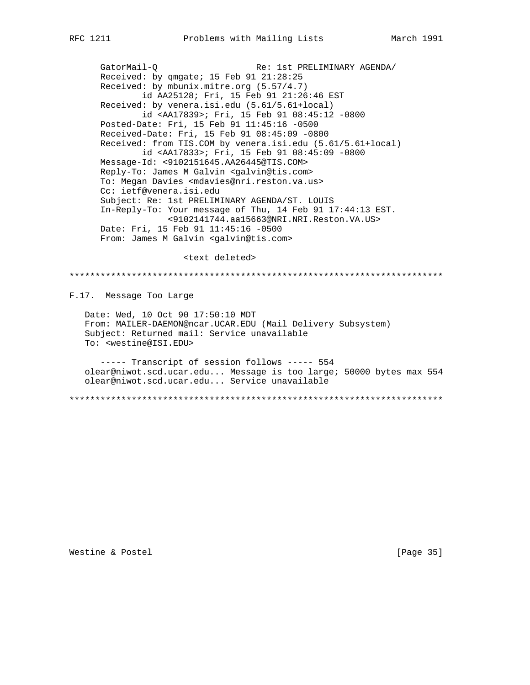GatorMail-Q Re: 1st PRELIMINARY AGENDA/ Received: by qmgate; 15 Feb 91 21:28:25 Received: by mbunix.mitre.org (5.57/4.7) id AA25128; Fri, 15 Feb 91 21:26:46 EST Received: by venera.isi.edu (5.61/5.61+local) id <AA17839>; Fri, 15 Feb 91 08:45:12 -0800 Posted-Date: Fri, 15 Feb 91 11:45:16 -0500 Received-Date: Fri, 15 Feb 91 08:45:09 -0800 Received: from TIS.COM by venera.isi.edu (5.61/5.61+local) id <AA17833>; Fri, 15 Feb 91 08:45:09 -0800 Message-Id: <9102151645.AA26445@TIS.COM> Reply-To: James M Galvin <galvin@tis.com> To: Megan Davies <mdavies@nri.reston.va.us> Cc: ietf@venera.isi.edu Subject: Re: 1st PRELIMINARY AGENDA/ST. LOUIS In-Reply-To: Your message of Thu, 14 Feb 91 17:44:13 EST. <9102141744.aa15663@NRI.NRI.Reston.VA.US> Date: Fri, 15 Feb 91 11:45:16 -0500 From: James M Galvin <galvin@tis.com>

<text deleted>

\*\*\*\*\*\*\*\*\*\*\*\*\*\*\*\*\*\*\*\*\*\*\*\*\*\*\*\*\*\*\*\*\*\*\*\*\*\*\*\*\*\*\*\*\*\*\*\*\*\*\*\*\*\*\*\*\*\*\*\*\*\*\*\*\*\*\*\*\*\*\*\* F.17. Message Too Large Date: Wed, 10 Oct 90 17:50:10 MDT From: MAILER-DAEMON@ncar.UCAR.EDU (Mail Delivery Subsystem) Subject: Returned mail: Service unavailable To: <westine@ISI.EDU> ----- Transcript of session follows ----- 554 olear@niwot.scd.ucar.edu... Message is too large; 50000 bytes max 554 olear@niwot.scd.ucar.edu... Service unavailable

\*\*\*\*\*\*\*\*\*\*\*\*\*\*\*\*\*\*\*\*\*\*\*\*\*\*\*\*\*\*\*\*\*\*\*\*\*\*\*\*\*\*\*\*\*\*\*\*\*\*\*\*\*\*\*\*\*\*\*\*\*\*\*\*\*\*\*\*\*\*\*\*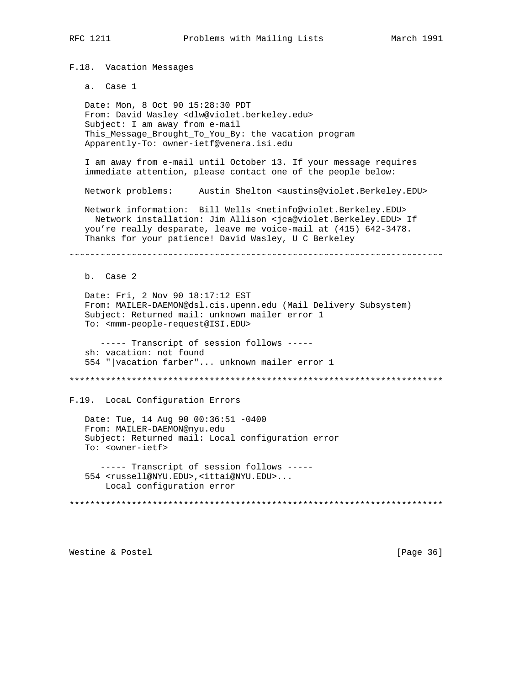F.18. Vacation Messages

a. Case 1

 Date: Mon, 8 Oct 90 15:28:30 PDT From: David Wasley <dlw@violet.berkeley.edu> Subject: I am away from e-mail This\_Message\_Brought\_To\_You\_By: the vacation program Apparently-To: owner-ietf@venera.isi.edu

 I am away from e-mail until October 13. If your message requires immediate attention, please contact one of the people below:

Network problems: Austin Shelton <austins@violet.Berkeley.EDU>

 Network information: Bill Wells <netinfo@violet.Berkeley.EDU> Network installation: Jim Allison <jca@violet.Berkeley.EDU> If you're really desparate, leave me voice-mail at (415) 642-3478. Thanks for your patience! David Wasley, U C Berkeley

˜˜˜˜˜˜˜˜˜˜˜˜˜˜˜˜˜˜˜˜˜˜˜˜˜˜˜˜˜˜˜˜˜˜˜˜˜˜˜˜˜˜˜˜˜˜˜˜˜˜˜˜˜˜˜˜˜˜˜˜˜˜˜˜˜˜˜˜˜˜˜˜

b. Case 2

 Date: Fri, 2 Nov 90 18:17:12 EST From: MAILER-DAEMON@dsl.cis.upenn.edu (Mail Delivery Subsystem) Subject: Returned mail: unknown mailer error 1 To: <mmm-people-request@ISI.EDU>

 ----- Transcript of session follows ---- sh: vacation: not found 554 "|vacation farber"... unknown mailer error 1

\*\*\*\*\*\*\*\*\*\*\*\*\*\*\*\*\*\*\*\*\*\*\*\*\*\*\*\*\*\*\*\*\*\*\*\*\*\*\*\*\*\*\*\*\*\*\*\*\*\*\*\*\*\*\*\*\*\*\*\*\*\*\*\*\*\*\*\*\*\*\*\*

F.19. LocaL Configuration Errors

 Date: Tue, 14 Aug 90 00:36:51 -0400 From: MAILER-DAEMON@nyu.edu Subject: Returned mail: Local configuration error To: <owner-ietf>

 ----- Transcript of session follows ----- 554 <russell@NYU.EDU>,<ittai@NYU.EDU>... Local configuration error

\*\*\*\*\*\*\*\*\*\*\*\*\*\*\*\*\*\*\*\*\*\*\*\*\*\*\*\*\*\*\*\*\*\*\*\*\*\*\*\*\*\*\*\*\*\*\*\*\*\*\*\*\*\*\*\*\*\*\*\*\*\*\*\*\*\*\*\*\*\*\*\*

Westine & Postel [Page 36]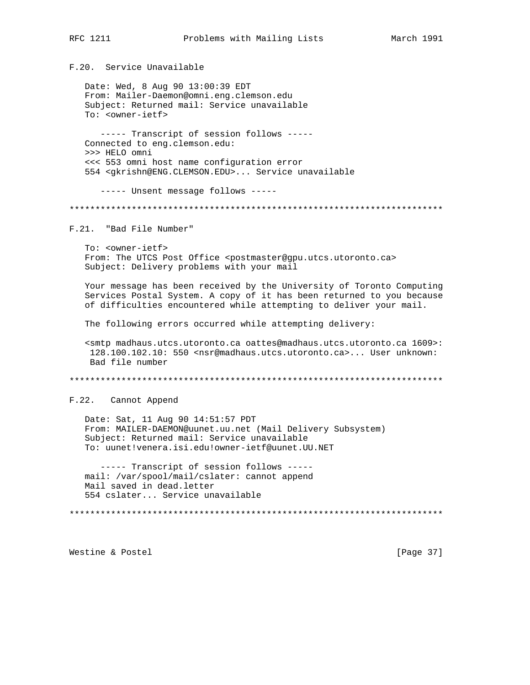F.20. Service Unavailable

Date: Wed, 8 Aug 90 13:00:39 EDT From: Mailer-Daemon@omni.eng.clemson.edu Subject: Returned mail: Service unavailable To: <owner-ietf>

----- Transcript of session follows -----Connected to eng.clemson.edu: >>> HELO omni <<< 553 omni host name configuration error 554 <gkrishn@ENG.CLEMSON.EDU>... Service unavailable

----- Unsent message follows -----

F.21. "Bad File Number"

To: <owner-ietf> From: The UTCS Post Office <postmaster@gpu.utcs.utoronto.ca> Subject: Delivery problems with your mail

Your message has been received by the University of Toronto Computing Services Postal System. A copy of it has been returned to you because of difficulties encountered while attempting to deliver your mail.

The following errors occurred while attempting delivery:

<smtp madhaus.utcs.utoronto.ca oattes@madhaus.utcs.utoronto.ca 1609>: 128.100.102.10: 550 <nsr@madhaus.utcs.utoronto.ca>... User unknown: Bad file number

F.22. Cannot Append

Date: Sat, 11 Aug 90 14:51:57 PDT From: MAILER-DAEMON@uunet.uu.net (Mail Delivery Subsystem) Subject: Returned mail: Service unavailable To: uunet!venera.isi.edu!owner-ietf@uunet.UU.NET

----- Transcript of session follows ----mail: /var/spool/mail/cslater: cannot append Mail saved in dead.letter 554 cslater... Service unavailable

Westine & Postel

[Page 37]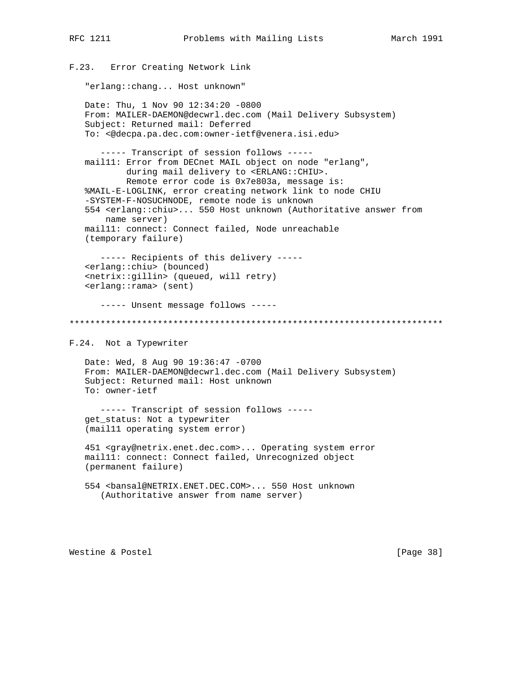F.23. Error Creating Network Link

"erlang::chang... Host unknown"

 Date: Thu, 1 Nov 90 12:34:20 -0800 From: MAILER-DAEMON@decwrl.dec.com (Mail Delivery Subsystem) Subject: Returned mail: Deferred To: <@decpa.pa.dec.com:owner-ietf@venera.isi.edu> ----- Transcript of session follows ---- mail11: Error from DECnet MAIL object on node "erlang", during mail delivery to <ERLANG::CHIU>. Remote error code is 0x7e803a, message is: %MAIL-E-LOGLINK, error creating network link to node CHIU -SYSTEM-F-NOSUCHNODE, remote node is unknown 554 <erlang::chiu>... 550 Host unknown (Authoritative answer from name server) mail11: connect: Connect failed, Node unreachable (temporary failure) ----- Recipients of this delivery ----- <erlang::chiu> (bounced) <netrix::gillin> (queued, will retry) <erlang::rama> (sent) ----- Unsent message follows ----- \*\*\*\*\*\*\*\*\*\*\*\*\*\*\*\*\*\*\*\*\*\*\*\*\*\*\*\*\*\*\*\*\*\*\*\*\*\*\*\*\*\*\*\*\*\*\*\*\*\*\*\*\*\*\*\*\*\*\*\*\*\*\*\*\*\*\*\*\*\*\*\* F.24. Not a Typewriter Date: Wed, 8 Aug 90 19:36:47 -0700 From: MAILER-DAEMON@decwrl.dec.com (Mail Delivery Subsystem) Subject: Returned mail: Host unknown To: owner-ietf ----- Transcript of session follows ---- get\_status: Not a typewriter (mail11 operating system error) 451 <gray@netrix.enet.dec.com>... Operating system error mail11: connect: Connect failed, Unrecognized object (permanent failure) 554 <bansal@NETRIX.ENET.DEC.COM>... 550 Host unknown (Authoritative answer from name server)

Westine & Postel [Page 38]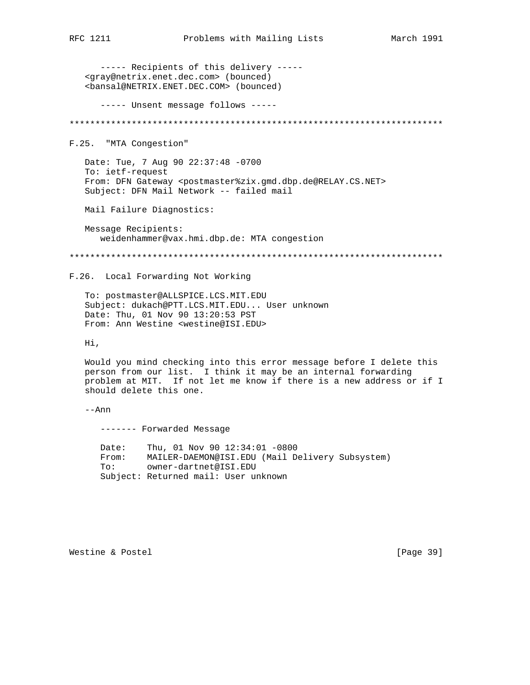----- Recipients of this delivery -----<gray@netrix.enet.dec.com> (bounced) <bansal@NETRIX.ENET.DEC.COM> (bounced) ----- Unsent message follows -----F.25. "MTA Congestion" Date: Tue, 7 Aug 90 22:37:48 -0700 To: ietf-request From: DFN Gateway <postmaster%zix.qmd.dbp.de@RELAY.CS.NET> Subject: DFN Mail Network -- failed mail Mail Failure Diagnostics: Message Recipients: weidenhammer@vax.hmi.dbp.de: MTA congestion F.26. Local Forwarding Not Working To: postmaster@ALLSPICE.LCS.MIT.EDU Subject: dukach@PTT.LCS.MIT.EDU... User unknown Date: Thu, 01 Nov 90 13:20:53 PST From: Ann Westine <westine@ISI.EDU> Hi, Would you mind checking into this error message before I delete this person from our list. I think it may be an internal forwarding problem at MIT. If not let me know if there is a new address or if I should delete this one.  $--Ann$ ------- Forwarded Message Date: Thu, 01 Nov 90 12:34:01 -0800 From: MAILER-DAEMON@ISI.EDU (Mail Delivery Subsystem)  $\texttt{To}:$ owner-dartnet@ISI.EDU Subject: Returned mail: User unknown

Westine & Postel

[Page 39]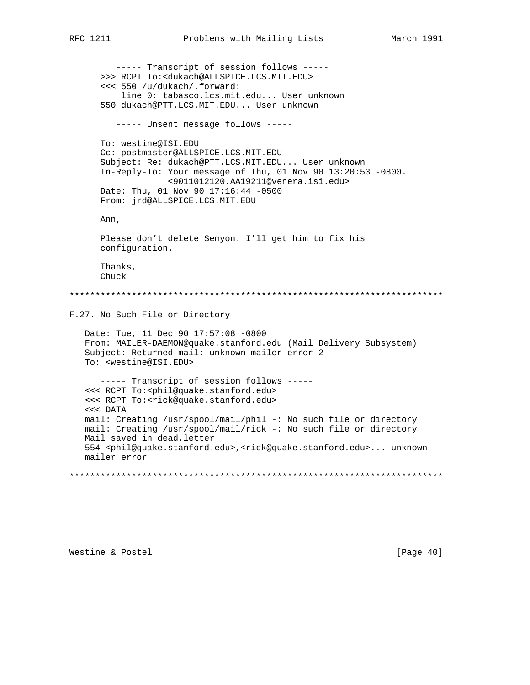----- Transcript of session follows ----->>> RCPT To:<dukach@ALLSPICE.LCS.MIT.EDU> <<< 550 /u/dukach/.forward: line 0: tabasco.lcs.mit.edu... User unknown 550 dukach@PTT.LCS.MIT.EDU... User unknown ----- Unsent message follows -----To: westine@ISI.EDU Cc: postmaster@ALLSPICE.LCS.MIT.EDU Subject: Re: dukach@PTT.LCS.MIT.EDU... User unknown In-Reply-To: Your message of Thu, 01 Nov 90 13:20:53 -0800. <9011012120.AA19211@venera.isi.edu> Date: Thu, 01 Nov 90 17:16:44 -0500 From: jrd@ALLSPICE.LCS.MIT.EDU Ann, Please don't delete Semyon. I'll get him to fix his configuration. Thanks, Chuck F.27. No Such File or Directory Date: Tue, 11 Dec 90 17:57:08 -0800 From: MAILER-DAEMON@quake.stanford.edu (Mail Delivery Subsystem) Subject: Returned mail: unknown mailer error 2 To: <westine@ISI.EDU> ----- Transcript of session follows -----<<< RCPT To:<phil@quake.stanford.edu> <<< RCPT To:<rick@quake.stanford.edu>  $<<$  DATA mail: Creating /usr/spool/mail/phil -: No such file or directory mail: Creating /usr/spool/mail/rick -: No such file or directory Mail saved in dead.letter 554 <phil@quake.stanford.edu>, <rick@quake.stanford.edu>... unknown mailer error 

Westine & Postel

[Page 40]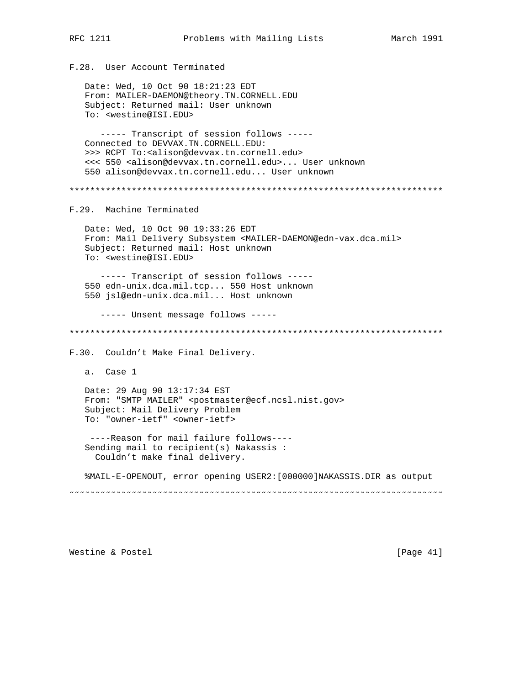F.28. User Account Terminated

 Date: Wed, 10 Oct 90 18:21:23 EDT From: MAILER-DAEMON@theory.TN.CORNELL.EDU Subject: Returned mail: User unknown To: <westine@ISI.EDU> ----- Transcript of session follows ----- Connected to DEVVAX.TN.CORNELL.EDU: >>> RCPT To:<alison@devvax.tn.cornell.edu> <<< 550 <alison@devvax.tn.cornell.edu>... User unknown 550 alison@devvax.tn.cornell.edu... User unknown \*\*\*\*\*\*\*\*\*\*\*\*\*\*\*\*\*\*\*\*\*\*\*\*\*\*\*\*\*\*\*\*\*\*\*\*\*\*\*\*\*\*\*\*\*\*\*\*\*\*\*\*\*\*\*\*\*\*\*\*\*\*\*\*\*\*\*\*\*\*\*\* F.29. Machine Terminated Date: Wed, 10 Oct 90 19:33:26 EDT From: Mail Delivery Subsystem <MAILER-DAEMON@edn-vax.dca.mil> Subject: Returned mail: Host unknown To: <westine@ISI.EDU> ----- Transcript of session follows ----- 550 edn-unix.dca.mil.tcp... 550 Host unknown 550 jsl@edn-unix.dca.mil... Host unknown ----- Unsent message follows ----- \*\*\*\*\*\*\*\*\*\*\*\*\*\*\*\*\*\*\*\*\*\*\*\*\*\*\*\*\*\*\*\*\*\*\*\*\*\*\*\*\*\*\*\*\*\*\*\*\*\*\*\*\*\*\*\*\*\*\*\*\*\*\*\*\*\*\*\*\*\*\*\* F.30. Couldn't Make Final Delivery. a. Case 1 Date: 29 Aug 90 13:17:34 EST From: "SMTP MAILER" <postmaster@ecf.ncsl.nist.gov> Subject: Mail Delivery Problem To: "owner-ietf" <owner-ietf> ----Reason for mail failure follows---- Sending mail to recipient(s) Nakassis : Couldn't make final delivery. %MAIL-E-OPENOUT, error opening USER2:[000000]NAKASSIS.DIR as output ˜˜˜˜˜˜˜˜˜˜˜˜˜˜˜˜˜˜˜˜˜˜˜˜˜˜˜˜˜˜˜˜˜˜˜˜˜˜˜˜˜˜˜˜˜˜˜˜˜˜˜˜˜˜˜˜˜˜˜˜˜˜˜˜˜˜˜˜˜˜˜˜

Westine & Postel [Page 41]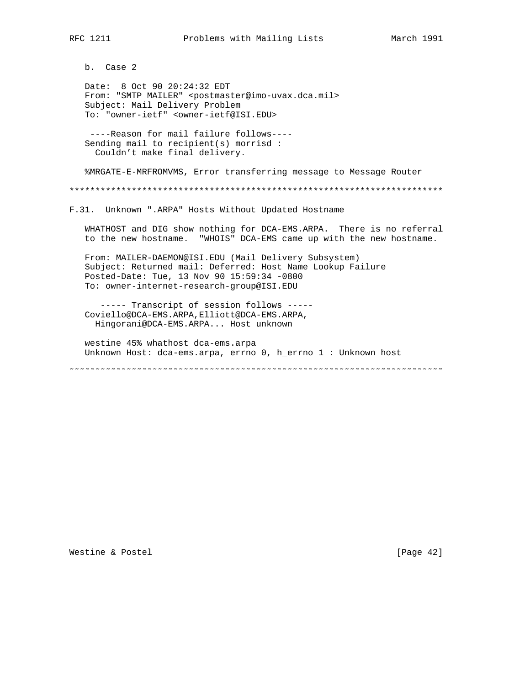b. Case 2

 Date: 8 Oct 90 20:24:32 EDT From: "SMTP MAILER" <postmaster@imo-uvax.dca.mil> Subject: Mail Delivery Problem To: "owner-ietf" <owner-ietf@ISI.EDU>

 ----Reason for mail failure follows---- Sending mail to recipient(s) morrisd : Couldn't make final delivery.

%MRGATE-E-MRFROMVMS, Error transferring message to Message Router

\*\*\*\*\*\*\*\*\*\*\*\*\*\*\*\*\*\*\*\*\*\*\*\*\*\*\*\*\*\*\*\*\*\*\*\*\*\*\*\*\*\*\*\*\*\*\*\*\*\*\*\*\*\*\*\*\*\*\*\*\*\*\*\*\*\*\*\*\*\*\*\*

F.31. Unknown ".ARPA" Hosts Without Updated Hostname

 WHATHOST and DIG show nothing for DCA-EMS.ARPA. There is no referral to the new hostname. "WHOIS" DCA-EMS came up with the new hostname.

 From: MAILER-DAEMON@ISI.EDU (Mail Delivery Subsystem) Subject: Returned mail: Deferred: Host Name Lookup Failure Posted-Date: Tue, 13 Nov 90 15:59:34 -0800 To: owner-internet-research-group@ISI.EDU

 ----- Transcript of session follows ----- Coviello@DCA-EMS.ARPA,Elliott@DCA-EMS.ARPA, Hingorani@DCA-EMS.ARPA... Host unknown

 westine 45% whathost dca-ems.arpa Unknown Host: dca-ems.arpa, errno 0, h\_errno 1 : Unknown host

˜˜˜˜˜˜˜˜˜˜˜˜˜˜˜˜˜˜˜˜˜˜˜˜˜˜˜˜˜˜˜˜˜˜˜˜˜˜˜˜˜˜˜˜˜˜˜˜˜˜˜˜˜˜˜˜˜˜˜˜˜˜˜˜˜˜˜˜˜˜˜˜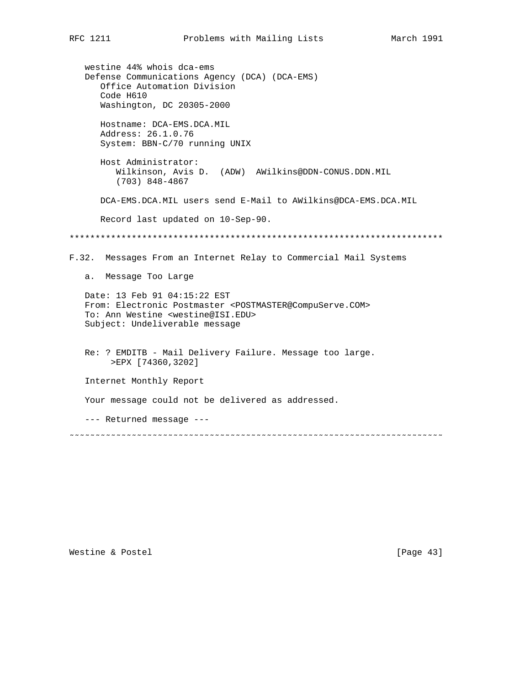westine 44% whois dca-ems Defense Communications Agency (DCA) (DCA-EMS) Office Automation Division Code H610 Washington, DC 20305-2000 Hostname: DCA-EMS.DCA.MIL Address: 26.1.0.76 System: BBN-C/70 running UNIX Host Administrator: Wilkinson, Avis D. (ADW) AWilkins@DDN-CONUS.DDN.MIL (703) 848-4867 DCA-EMS.DCA.MIL users send E-Mail to AWilkins@DCA-EMS.DCA.MIL Record last updated on 10-Sep-90. \*\*\*\*\*\*\*\*\*\*\*\*\*\*\*\*\*\*\*\*\*\*\*\*\*\*\*\*\*\*\*\*\*\*\*\*\*\*\*\*\*\*\*\*\*\*\*\*\*\*\*\*\*\*\*\*\*\*\*\*\*\*\*\*\*\*\*\*\*\*\*\* F.32. Messages From an Internet Relay to Commercial Mail Systems a. Message Too Large Date: 13 Feb 91 04:15:22 EST From: Electronic Postmaster <POSTMASTER@CompuServe.COM> To: Ann Westine <westine@ISI.EDU> Subject: Undeliverable message Re: ? EMDITB - Mail Delivery Failure. Message too large. >EPX [74360,3202] Internet Monthly Report Your message could not be delivered as addressed. --- Returned message --- ˜˜˜˜˜˜˜˜˜˜˜˜˜˜˜˜˜˜˜˜˜˜˜˜˜˜˜˜˜˜˜˜˜˜˜˜˜˜˜˜˜˜˜˜˜˜˜˜˜˜˜˜˜˜˜˜˜˜˜˜˜˜˜˜˜˜˜˜˜˜˜˜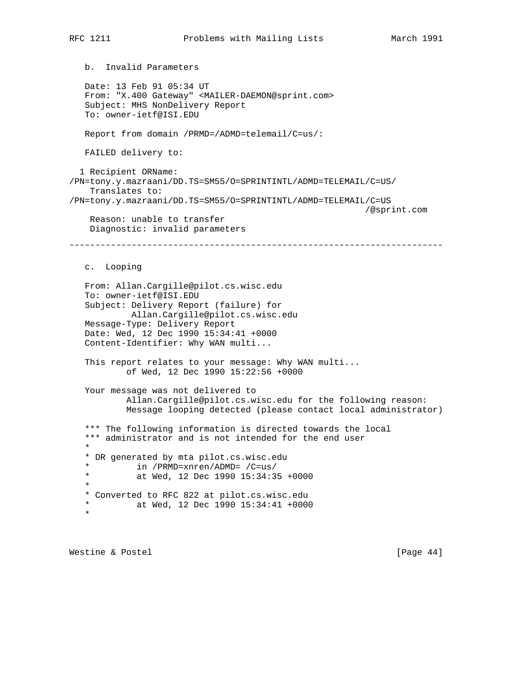b. Invalid Parameters Date: 13 Feb 91 05:34 UT From: "X.400 Gateway" <MAILER-DAEMON@sprint.com> Subject: MHS NonDelivery Report To: owner-ietf@ISI.EDU Report from domain /PRMD=/ADMD=telemail/C=us/: FAILED delivery to: 1 Recipient ORName: /PN=tony.y.mazraani/DD.TS=SM55/O=SPRINTINTL/ADMD=TELEMAIL/C=US/ Translates to: /PN=tony.y.mazraani/DD.TS=SM55/O=SPRINTINTL/ADMD=TELEMAIL/C=US /@sprint.com Reason: unable to transfer Diagnostic: invalid parameters ˜˜˜˜˜˜˜˜˜˜˜˜˜˜˜˜˜˜˜˜˜˜˜˜˜˜˜˜˜˜˜˜˜˜˜˜˜˜˜˜˜˜˜˜˜˜˜˜˜˜˜˜˜˜˜˜˜˜˜˜˜˜˜˜˜˜˜˜˜˜˜˜ c. Looping From: Allan.Cargille@pilot.cs.wisc.edu To: owner-ietf@ISI.EDU Subject: Delivery Report (failure) for Allan.Cargille@pilot.cs.wisc.edu Message-Type: Delivery Report Date: Wed, 12 Dec 1990 15:34:41 +0000 Content-Identifier: Why WAN multi... This report relates to your message: Why WAN multi... of Wed, 12 Dec 1990 15:22:56 +0000 Your message was not delivered to Allan.Cargille@pilot.cs.wisc.edu for the following reason: Message looping detected (please contact local administrator) \*\*\* The following information is directed towards the local \*\*\* administrator and is not intended for the end user  $\star$  \* DR generated by mta pilot.cs.wisc.edu  $*$  in /PRMD=xnren/ADMD= /C=us/<br> $*$  at Med 12 Dec 1990 15:34:34 at Wed, 12 Dec 1990  $15:34:35 +0000$  \* \* Converted to RFC 822 at pilot.cs.wisc.edu at Wed, 12 Dec 1990 15:34:41 +0000 \*

Westine & Postel **business and Contact Contact Contact Contact Contact Contact Contact Contact Contact Contact Contact Contact Contact Contact Contact Contact Contact Contact Contact Contact Contact Contact Contact Contact**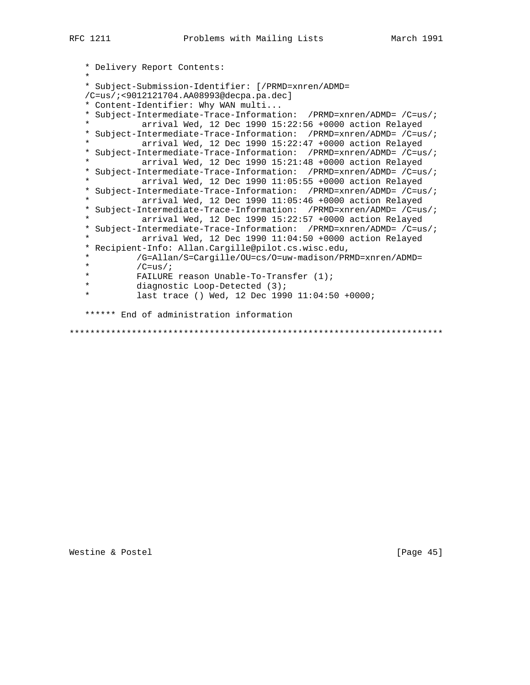```
 * Delivery Report Contents:
\star * Subject-Submission-Identifier: [/PRMD=xnren/ADMD=
   /C=us/;<9012121704.AA08993@decpa.pa.dec]
    * Content-Identifier: Why WAN multi...
   * Subject-Intermediate-Trace-Information: /PRMD=xnren/ADMD= /C=us/;
              arrival Wed, 12 Dec 1990 15:22:56 +0000 action Relayed
   * Subject-Intermediate-Trace-Information: /PRMD=xnren/ADMD= /C=us/;
             arrival Wed, 12 Dec 1990 15:22:47 +0000 action Relayed
   * Subject-Intermediate-Trace-Information: /PRMD=xnren/ADMD= /C=us/;
             arrival Wed, 12 Dec 1990 15:21:48 +0000 action Relayed
   * Subject-Intermediate-Trace-Information: /PRMD=xnren/ADMD= /C=us/;
             arrival Wed, 12 Dec 1990 11:05:55 +0000 action Relayed
   * Subject-Intermediate-Trace-Information: /PRMD=xnren/ADMD= /C=us/;
             arrival Wed, 12 Dec 1990 11:05:46 +0000 action Relayed
   * Subject-Intermediate-Trace-Information: /PRMD=xnren/ADMD= /C=us/;
   * arrival Wed, 12 Dec 1990 15:22:57 +0000 action Relayed
   * Subject-Intermediate-Trace-Information: /PRMD=xnren/ADMD= /C=us/;
   * arrival Wed, 12 Dec 1990 11:04:50 +0000 action Relayed
   * Recipient-Info: Allan.Cargille@pilot.cs.wisc.edu,
   * /G=Allan/S=Cargille/OU=cs/O=uw-madison/PRMD=xnren/ADMD=
  \begin{array}{ccc}\n \star & / \text{C=us}/i \\
 \star & \text{FATI.IIRF}\n \end{array}FAILURE reason Unable-To-Transfer (1); * diagnostic Loop-Detected (3);
             last trace () Wed, 12 Dec 1990 11:04:50 +0000;
   ****** End of administration information
```
\*\*\*\*\*\*\*\*\*\*\*\*\*\*\*\*\*\*\*\*\*\*\*\*\*\*\*\*\*\*\*\*\*\*\*\*\*\*\*\*\*\*\*\*\*\*\*\*\*\*\*\*\*\*\*\*\*\*\*\*\*\*\*\*\*\*\*\*\*\*\*\*

Westine & Postel [Page 45]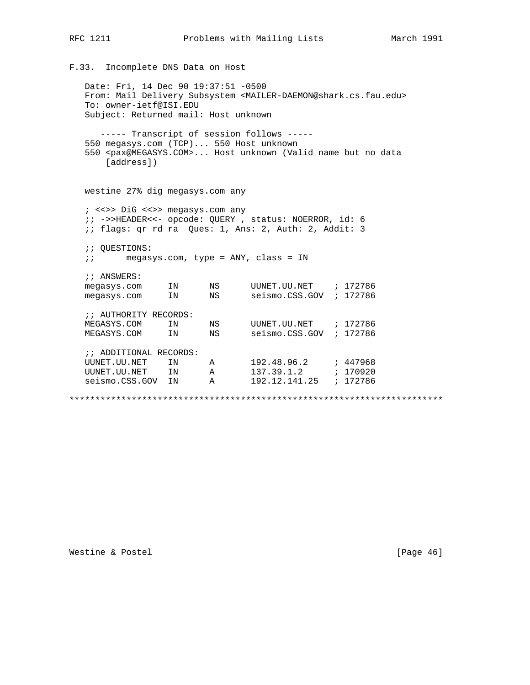```
F.33. Incomplete DNS Data on Host
   Date: Fri, 14 Dec 90 19:37:51 -0500
   From: Mail Delivery Subsystem <MAILER-DAEMON@shark.cs.fau.edu>
   To: owner-ietf@ISI.EDU
   Subject: Returned mail: Host unknown
       ----- Transcript of session follows -----
   550 megasys.com (TCP)... 550 Host unknown
   550 <pax@MEGASYS.COM>... Host unknown (Valid name but no data
        [address])
   westine 27% dig megasys.com any
   ; <<>> DiG <<>> megasys.com any
   ;; ->>HEADER<<- opcode: QUERY, status: NOERROR, id: 6
   : if lags: qr rd ra Ques: 1, Ans: 2, Auth: 2, Addit: 3
   ;; QUESTIONS:
   \mathbf{i} \mathbf{i}megasys.com, type = ANY, class = IN
   ;; ANSWERS:
   megasys.com IN NS UUNET.UU.NET ; 172786<br>megasys.com IN NS seismo.CSS.GOV ; 172786
   :: AUTHORITY RECORDS:
   MEGASYS.COM IN NS UUNET.UU.NET ; 172786<br>MEGASYS.COM IN NS seismo.CSS.GOV ; 172786
   ;; ADDITIONAL RECORDS:
   UUNET.UU.NET IN A 192.48.96.2 ; 447968<br>UUNET.UU.NET IN A 137.39.1.2 ; 170920<br>seismo.CSS.GOV IN A 192.12.141.25 ; 172786
```
#### Westine & Postel

[Page 46]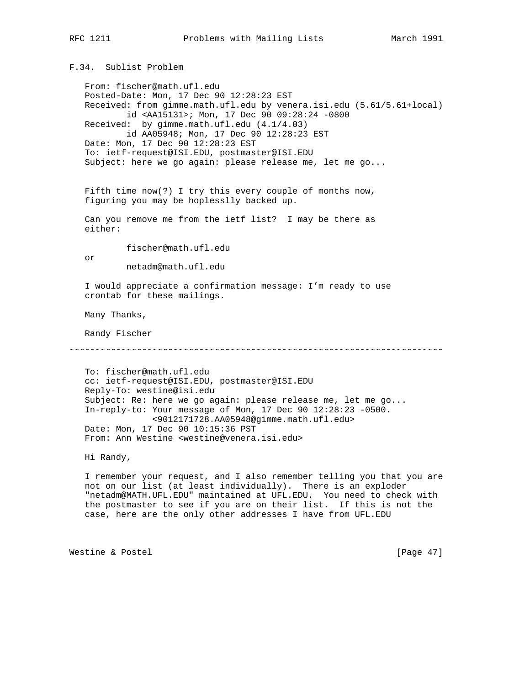F.34. Sublist Problem

 From: fischer@math.ufl.edu Posted-Date: Mon, 17 Dec 90 12:28:23 EST Received: from gimme.math.ufl.edu by venera.isi.edu (5.61/5.61+local) id <AA15131>; Mon, 17 Dec 90 09:28:24 -0800 Received: by gimme.math.ufl.edu (4.1/4.03) id AA05948; Mon, 17 Dec 90 12:28:23 EST Date: Mon, 17 Dec 90 12:28:23 EST To: ietf-request@ISI.EDU, postmaster@ISI.EDU Subject: here we go again: please release me, let me go... Fifth time now(?) I try this every couple of months now, figuring you may be hoplesslly backed up. Can you remove me from the ietf list? I may be there as either: fischer@math.ufl.edu or netadm@math.ufl.edu I would appreciate a confirmation message: I'm ready to use crontab for these mailings. Many Thanks, Randy Fischer ˜˜˜˜˜˜˜˜˜˜˜˜˜˜˜˜˜˜˜˜˜˜˜˜˜˜˜˜˜˜˜˜˜˜˜˜˜˜˜˜˜˜˜˜˜˜˜˜˜˜˜˜˜˜˜˜˜˜˜˜˜˜˜˜˜˜˜˜˜˜˜˜ To: fischer@math.ufl.edu cc: ietf-request@ISI.EDU, postmaster@ISI.EDU Reply-To: westine@isi.edu Subject: Re: here we go again: please release me, let me go... In-reply-to: Your message of Mon, 17 Dec 90 12:28:23 -0500. <9012171728.AA05948@gimme.math.ufl.edu> Date: Mon, 17 Dec 90 10:15:36 PST From: Ann Westine <westine@venera.isi.edu> Hi Randy, I remember your request, and I also remember telling you that you are not on our list (at least individually). There is an exploder

 "netadm@MATH.UFL.EDU" maintained at UFL.EDU. You need to check with the postmaster to see if you are on their list. If this is not the case, here are the only other addresses I have from UFL.EDU

Westine & Postel [Page 47]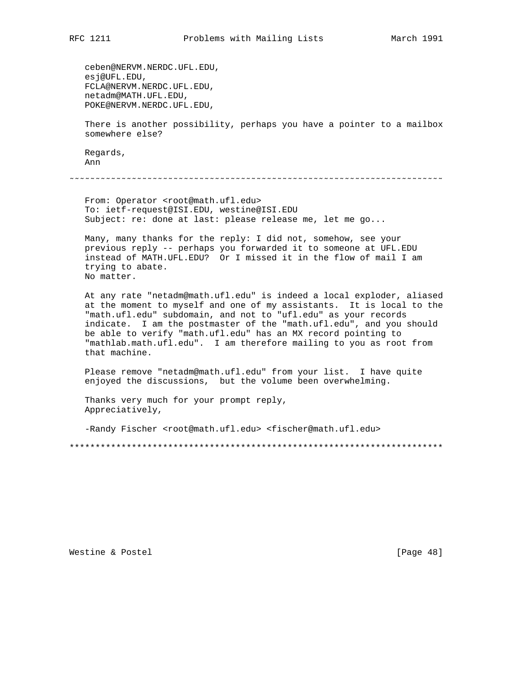ceben@NERVM.NERDC.UFL.EDU, esj@UFL.EDU, FCLA@NERVM.NERDC.UFL.EDU, netadm@MATH.UFL.EDU, POKE@NERVM.NERDC.UFL.EDU, There is another possibility, perhaps you have a pointer to a mailbox somewhere else? Regards, Ann

˜˜˜˜˜˜˜˜˜˜˜˜˜˜˜˜˜˜˜˜˜˜˜˜˜˜˜˜˜˜˜˜˜˜˜˜˜˜˜˜˜˜˜˜˜˜˜˜˜˜˜˜˜˜˜˜˜˜˜˜˜˜˜˜˜˜˜˜˜˜˜˜

From: Operator <root@math.ufl.edu> To: ietf-request@ISI.EDU, westine@ISI.EDU Subject: re: done at last: please release me, let me go...

 Many, many thanks for the reply: I did not, somehow, see your previous reply -- perhaps you forwarded it to someone at UFL.EDU instead of MATH.UFL.EDU? Or I missed it in the flow of mail I am trying to abate. No matter.

 At any rate "netadm@math.ufl.edu" is indeed a local exploder, aliased at the moment to myself and one of my assistants. It is local to the "math.ufl.edu" subdomain, and not to "ufl.edu" as your records indicate. I am the postmaster of the "math.ufl.edu", and you should be able to verify "math.ufl.edu" has an MX record pointing to "mathlab.math.ufl.edu". I am therefore mailing to you as root from that machine.

 Please remove "netadm@math.ufl.edu" from your list. I have quite enjoyed the discussions, but the volume been overwhelming.

 Thanks very much for your prompt reply, Appreciatively,

-Randy Fischer <root@math.ufl.edu> <fischer@math.ufl.edu>

\*\*\*\*\*\*\*\*\*\*\*\*\*\*\*\*\*\*\*\*\*\*\*\*\*\*\*\*\*\*\*\*\*\*\*\*\*\*\*\*\*\*\*\*\*\*\*\*\*\*\*\*\*\*\*\*\*\*\*\*\*\*\*\*\*\*\*\*\*\*\*\*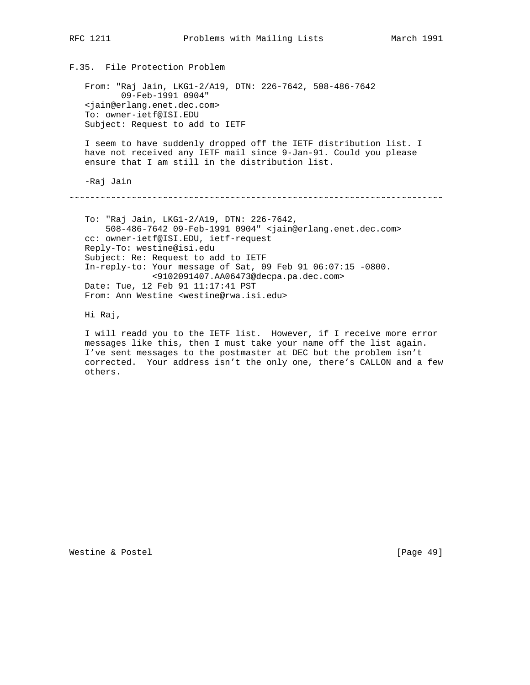From: "Raj Jain, LKG1-2/A19, DTN: 226-7642, 508-486-7642 09-Feb-1991 0904" <jain@erlang.enet.dec.com> To: owner-ietf@ISI.EDU Subject: Request to add to IETF

 I seem to have suddenly dropped off the IETF distribution list. I have not received any IETF mail since 9-Jan-91. Could you please ensure that I am still in the distribution list.

-Raj Jain

˜˜˜˜˜˜˜˜˜˜˜˜˜˜˜˜˜˜˜˜˜˜˜˜˜˜˜˜˜˜˜˜˜˜˜˜˜˜˜˜˜˜˜˜˜˜˜˜˜˜˜˜˜˜˜˜˜˜˜˜˜˜˜˜˜˜˜˜˜˜˜˜

 To: "Raj Jain, LKG1-2/A19, DTN: 226-7642, 508-486-7642 09-Feb-1991 0904" <jain@erlang.enet.dec.com> cc: owner-ietf@ISI.EDU, ietf-request Reply-To: westine@isi.edu Subject: Re: Request to add to IETF In-reply-to: Your message of Sat, 09 Feb 91 06:07:15 -0800. <9102091407.AA06473@decpa.pa.dec.com> Date: Tue, 12 Feb 91 11:17:41 PST From: Ann Westine <westine@rwa.isi.edu>

Hi Raj,

 I will readd you to the IETF list. However, if I receive more error messages like this, then I must take your name off the list again. I've sent messages to the postmaster at DEC but the problem isn't corrected. Your address isn't the only one, there's CALLON and a few others.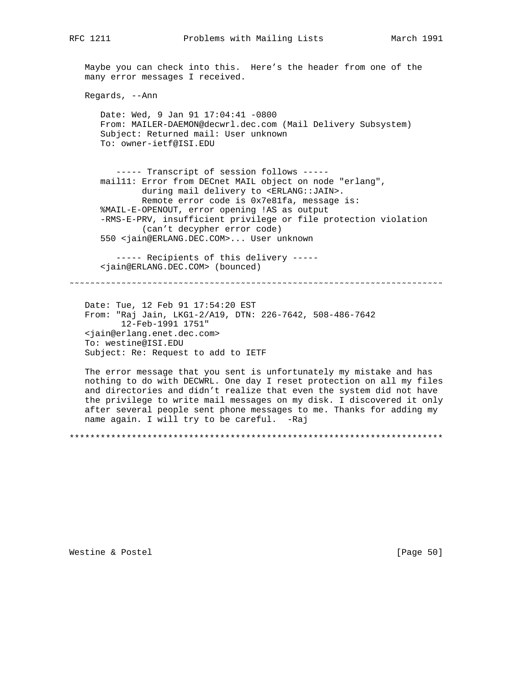Maybe you can check into this. Here's the header from one of the many error messages I received.

Regards, --Ann

 Date: Wed, 9 Jan 91 17:04:41 -0800 From: MAILER-DAEMON@decwrl.dec.com (Mail Delivery Subsystem) Subject: Returned mail: User unknown To: owner-ietf@ISI.EDU

 ----- Transcript of session follows ---- mail11: Error from DECnet MAIL object on node "erlang", during mail delivery to <ERLANG::JAIN>. Remote error code is 0x7e81fa, message is: %MAIL-E-OPENOUT, error opening !AS as output -RMS-E-PRV, insufficient privilege or file protection violation (can't decypher error code) 550 <jain@ERLANG.DEC.COM>... User unknown

 ----- Recipients of this delivery ----- <jain@ERLANG.DEC.COM> (bounced)

˜˜˜˜˜˜˜˜˜˜˜˜˜˜˜˜˜˜˜˜˜˜˜˜˜˜˜˜˜˜˜˜˜˜˜˜˜˜˜˜˜˜˜˜˜˜˜˜˜˜˜˜˜˜˜˜˜˜˜˜˜˜˜˜˜˜˜˜˜˜˜˜

 Date: Tue, 12 Feb 91 17:54:20 EST From: "Raj Jain, LKG1-2/A19, DTN: 226-7642, 508-486-7642 12-Feb-1991 1751" <jain@erlang.enet.dec.com> To: westine@ISI.EDU Subject: Re: Request to add to IETF

 The error message that you sent is unfortunately my mistake and has nothing to do with DECWRL. One day I reset protection on all my files and directories and didn't realize that even the system did not have the privilege to write mail messages on my disk. I discovered it only after several people sent phone messages to me. Thanks for adding my name again. I will try to be careful. -Raj

\*\*\*\*\*\*\*\*\*\*\*\*\*\*\*\*\*\*\*\*\*\*\*\*\*\*\*\*\*\*\*\*\*\*\*\*\*\*\*\*\*\*\*\*\*\*\*\*\*\*\*\*\*\*\*\*\*\*\*\*\*\*\*\*\*\*\*\*\*\*\*\*

Westine & Postel **business and Contact Contact Contact Contact Contact Contact Contact Contact Contact Contact Contact Contact Contact Contact Contact Contact Contact Contact Contact Contact Contact Contact Contact Contact**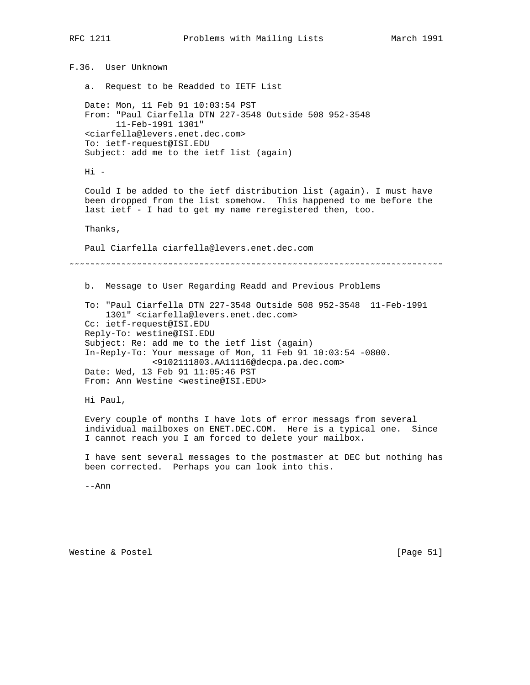F.36. User Unknown a. Request to be Readded to IETF List Date: Mon, 11 Feb 91 10:03:54 PST From: "Paul Ciarfella DTN 227-3548 Outside 508 952-3548 11-Feb-1991 1301" <ciarfella@levers.enet.dec.com> To: ietf-request@ISI.EDU Subject: add me to the ietf list (again) Hi - Could I be added to the ietf distribution list (again). I must have been dropped from the list somehow. This happened to me before the last ietf - I had to get my name reregistered then, too. Thanks, Paul Ciarfella ciarfella@levers.enet.dec.com ˜˜˜˜˜˜˜˜˜˜˜˜˜˜˜˜˜˜˜˜˜˜˜˜˜˜˜˜˜˜˜˜˜˜˜˜˜˜˜˜˜˜˜˜˜˜˜˜˜˜˜˜˜˜˜˜˜˜˜˜˜˜˜˜˜˜˜˜˜˜˜˜ b. Message to User Regarding Readd and Previous Problems To: "Paul Ciarfella DTN 227-3548 Outside 508 952-3548 11-Feb-1991 1301" <ciarfella@levers.enet.dec.com> Cc: ietf-request@ISI.EDU Reply-To: westine@ISI.EDU Subject: Re: add me to the ietf list (again) In-Reply-To: Your message of Mon, 11 Feb 91 10:03:54 -0800. <9102111803.AA11116@decpa.pa.dec.com> Date: Wed, 13 Feb 91 11:05:46 PST From: Ann Westine <westine@ISI.EDU> Hi Paul, Every couple of months I have lots of error messags from several individual mailboxes on ENET.DEC.COM. Here is a typical one. Since I cannot reach you I am forced to delete your mailbox. I have sent several messages to the postmaster at DEC but nothing has been corrected. Perhaps you can look into this. --Ann

Westine & Postel [Page 51]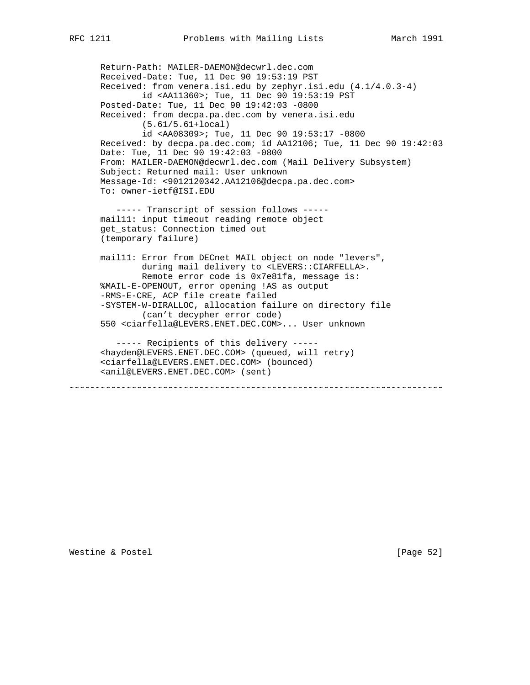Return-Path: MAILER-DAEMON@decwrl.dec.com Received-Date: Tue, 11 Dec 90 19:53:19 PST Received: from venera.isi.edu by zephyr.isi.edu (4.1/4.0.3-4) id <AA11360>; Tue, 11 Dec 90 19:53:19 PST Posted-Date: Tue, 11 Dec 90 19:42:03 -0800 Received: from decpa.pa.dec.com by venera.isi.edu (5.61/5.61+local) id <AA08309>; Tue, 11 Dec 90 19:53:17 -0800 Received: by decpa.pa.dec.com; id AA12106; Tue, 11 Dec 90 19:42:03 Date: Tue, 11 Dec 90 19:42:03 -0800 From: MAILER-DAEMON@decwrl.dec.com (Mail Delivery Subsystem) Subject: Returned mail: User unknown Message-Id: <9012120342.AA12106@decpa.pa.dec.com> To: owner-ietf@ISI.EDU ----- Transcript of session follows ---- mail11: input timeout reading remote object get\_status: Connection timed out (temporary failure) mail11: Error from DECnet MAIL object on node "levers", during mail delivery to <LEVERS::CIARFELLA>. Remote error code is 0x7e81fa, message is: %MAIL-E-OPENOUT, error opening !AS as output -RMS-E-CRE, ACP file create failed -SYSTEM-W-DIRALLOC, allocation failure on directory file (can't decypher error code) 550 <ciarfella@LEVERS.ENET.DEC.COM>... User unknown ----- Recipients of this delivery ----- <hayden@LEVERS.ENET.DEC.COM> (queued, will retry) <ciarfella@LEVERS.ENET.DEC.COM> (bounced) <anil@LEVERS.ENET.DEC.COM> (sent) ˜˜˜˜˜˜˜˜˜˜˜˜˜˜˜˜˜˜˜˜˜˜˜˜˜˜˜˜˜˜˜˜˜˜˜˜˜˜˜˜˜˜˜˜˜˜˜˜˜˜˜˜˜˜˜˜˜˜˜˜˜˜˜˜˜˜˜˜˜˜˜˜

Westine & Postel [Page 52]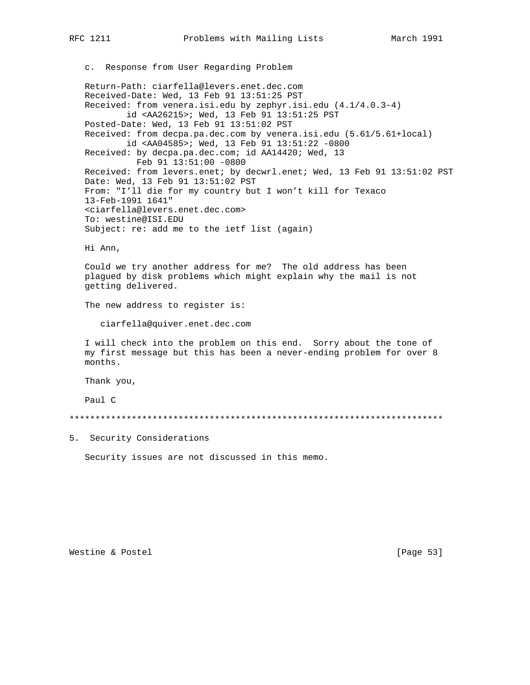c. Response from User Regarding Problem

 Return-Path: ciarfella@levers.enet.dec.com Received-Date: Wed, 13 Feb 91 13:51:25 PST Received: from venera.isi.edu by zephyr.isi.edu (4.1/4.0.3-4) id <AA26215>; Wed, 13 Feb 91 13:51:25 PST Posted-Date: Wed, 13 Feb 91 13:51:02 PST Received: from decpa.pa.dec.com by venera.isi.edu (5.61/5.61+local) id <AA04585>; Wed, 13 Feb 91 13:51:22 -0800 Received: by decpa.pa.dec.com; id AA14420; Wed, 13 Feb 91 13:51:00 -0800 Received: from levers.enet; by decwrl.enet; Wed, 13 Feb 91 13:51:02 PST Date: Wed, 13 Feb 91 13:51:02 PST From: "I'll die for my country but I won't kill for Texaco 13-Feb-1991 1641" <ciarfella@levers.enet.dec.com> To: westine@ISI.EDU Subject: re: add me to the ietf list (again)

Hi Ann,

 Could we try another address for me? The old address has been plagued by disk problems which might explain why the mail is not getting delivered.

The new address to register is:

ciarfella@quiver.enet.dec.com

 I will check into the problem on this end. Sorry about the tone of my first message but this has been a never-ending problem for over 8 months.

Thank you,

Paul C

\*\*\*\*\*\*\*\*\*\*\*\*\*\*\*\*\*\*\*\*\*\*\*\*\*\*\*\*\*\*\*\*\*\*\*\*\*\*\*\*\*\*\*\*\*\*\*\*\*\*\*\*\*\*\*\*\*\*\*\*\*\*\*\*\*\*\*\*\*\*\*\*

5. Security Considerations

Security issues are not discussed in this memo.

Westine & Postel [Page 53]